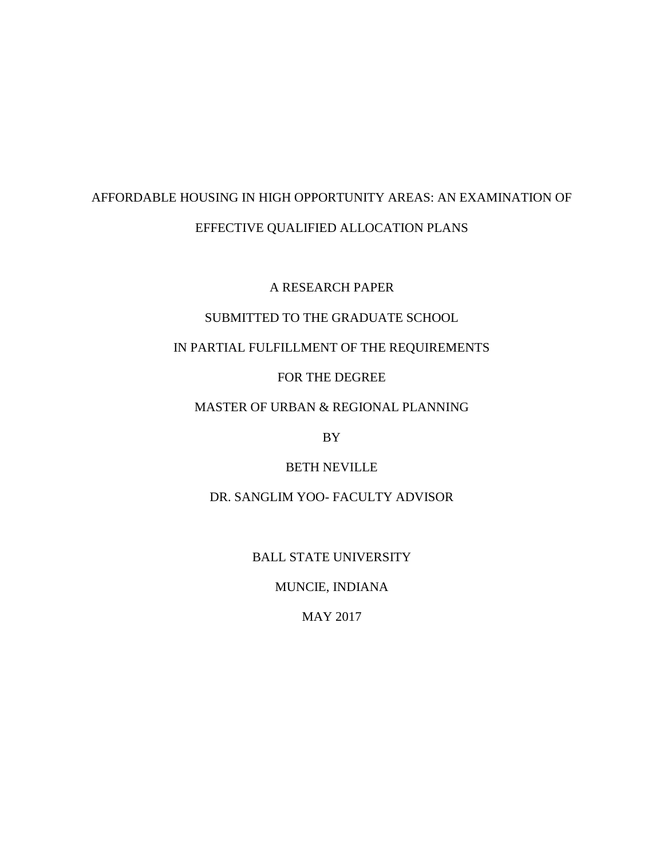# AFFORDABLE HOUSING IN HIGH OPPORTUNITY AREAS: AN EXAMINATION OF EFFECTIVE QUALIFIED ALLOCATION PLANS

A RESEARCH PAPER

## SUBMITTED TO THE GRADUATE SCHOOL

## IN PARTIAL FULFILLMENT OF THE REQUIREMENTS

## FOR THE DEGREE

## MASTER OF URBAN & REGIONAL PLANNING

BY

## BETH NEVILLE

## DR. SANGLIM YOO- FACULTY ADVISOR

## BALL STATE UNIVERSITY

## MUNCIE, INDIANA

## MAY 2017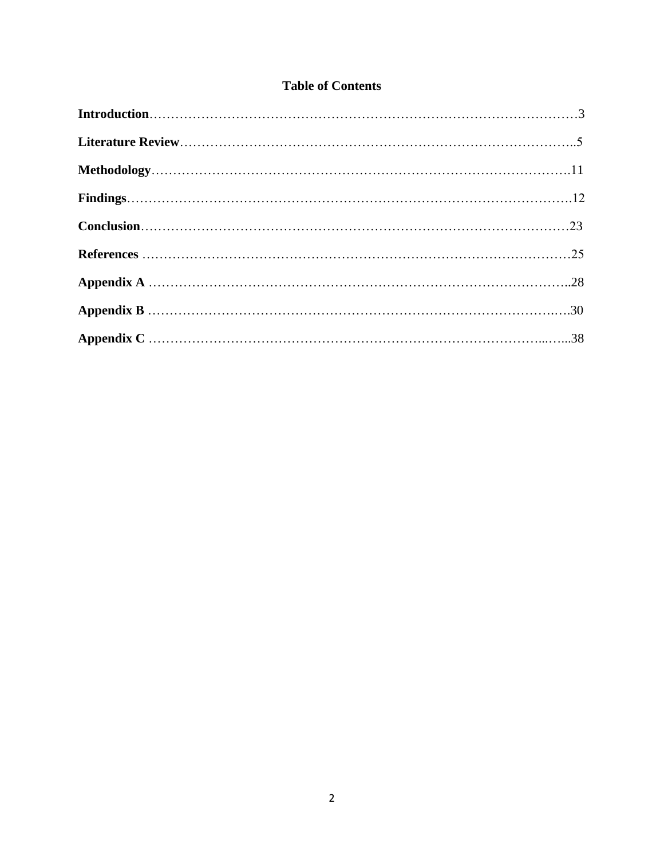## **Table of Contents**

| $Conclusion \ldots 23$ |  |
|------------------------|--|
|                        |  |
|                        |  |
|                        |  |
|                        |  |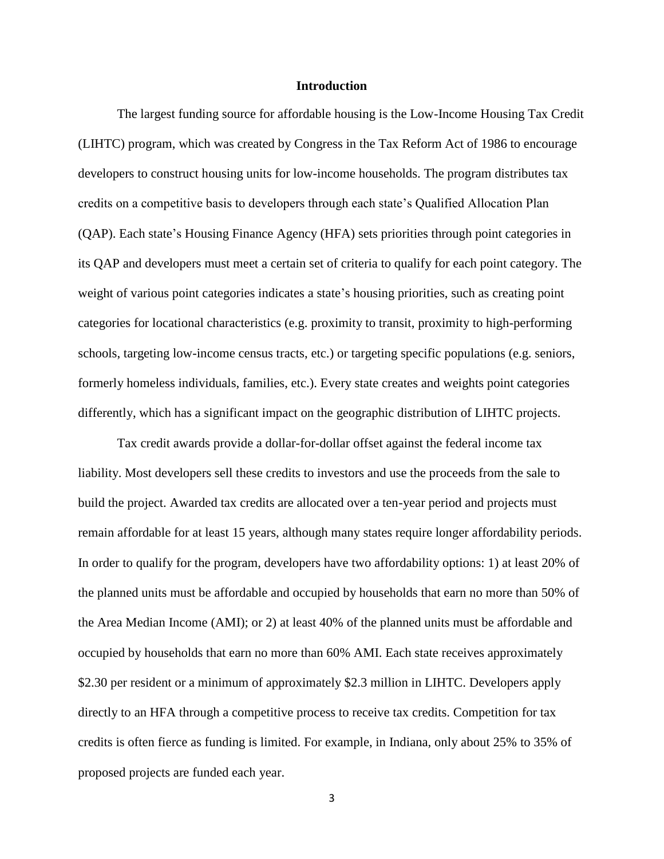#### **Introduction**

The largest funding source for affordable housing is the Low-Income Housing Tax Credit (LIHTC) program, which was created by Congress in the Tax Reform Act of 1986 to encourage developers to construct housing units for low-income households. The program distributes tax credits on a competitive basis to developers through each state's Qualified Allocation Plan (QAP). Each state's Housing Finance Agency (HFA) sets priorities through point categories in its QAP and developers must meet a certain set of criteria to qualify for each point category. The weight of various point categories indicates a state's housing priorities, such as creating point categories for locational characteristics (e.g. proximity to transit, proximity to high-performing schools, targeting low-income census tracts, etc.) or targeting specific populations (e.g. seniors, formerly homeless individuals, families, etc.). Every state creates and weights point categories differently, which has a significant impact on the geographic distribution of LIHTC projects.

Tax credit awards provide a dollar-for-dollar offset against the federal income tax liability. Most developers sell these credits to investors and use the proceeds from the sale to build the project. Awarded tax credits are allocated over a ten-year period and projects must remain affordable for at least 15 years, although many states require longer affordability periods. In order to qualify for the program, developers have two affordability options: 1) at least 20% of the planned units must be affordable and occupied by households that earn no more than 50% of the Area Median Income (AMI); or 2) at least 40% of the planned units must be affordable and occupied by households that earn no more than 60% AMI. Each state receives approximately \$2.30 per resident or a minimum of approximately \$2.3 million in LIHTC. Developers apply directly to an HFA through a competitive process to receive tax credits. Competition for tax credits is often fierce as funding is limited. For example, in Indiana, only about 25% to 35% of proposed projects are funded each year.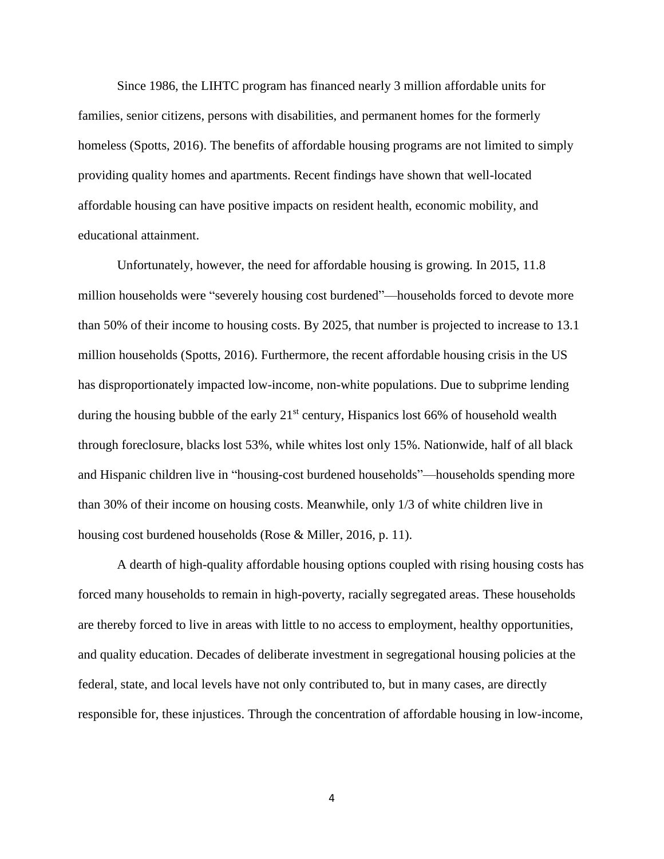Since 1986, the LIHTC program has financed nearly 3 million affordable units for families, senior citizens, persons with disabilities, and permanent homes for the formerly homeless (Spotts, 2016). The benefits of affordable housing programs are not limited to simply providing quality homes and apartments. Recent findings have shown that well-located affordable housing can have positive impacts on resident health, economic mobility, and educational attainment.

Unfortunately, however, the need for affordable housing is growing. In 2015, 11.8 million households were "severely housing cost burdened"—households forced to devote more than 50% of their income to housing costs. By 2025, that number is projected to increase to 13.1 million households (Spotts, 2016). Furthermore, the recent affordable housing crisis in the US has disproportionately impacted low-income, non-white populations. Due to subprime lending during the housing bubble of the early  $21<sup>st</sup>$  century, Hispanics lost 66% of household wealth through foreclosure, blacks lost 53%, while whites lost only 15%. Nationwide, half of all black and Hispanic children live in "housing-cost burdened households"—households spending more than 30% of their income on housing costs. Meanwhile, only 1/3 of white children live in housing cost burdened households (Rose & Miller, 2016, p. 11).

A dearth of high-quality affordable housing options coupled with rising housing costs has forced many households to remain in high-poverty, racially segregated areas. These households are thereby forced to live in areas with little to no access to employment, healthy opportunities, and quality education. Decades of deliberate investment in segregational housing policies at the federal, state, and local levels have not only contributed to, but in many cases, are directly responsible for, these injustices. Through the concentration of affordable housing in low-income,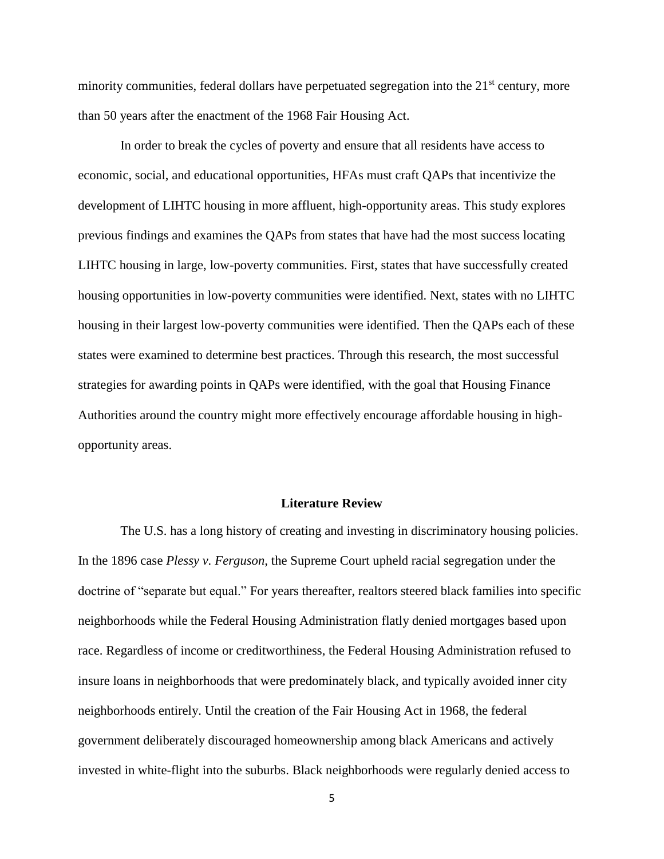minority communities, federal dollars have perpetuated segregation into the  $21<sup>st</sup>$  century, more than 50 years after the enactment of the 1968 Fair Housing Act.

In order to break the cycles of poverty and ensure that all residents have access to economic, social, and educational opportunities, HFAs must craft QAPs that incentivize the development of LIHTC housing in more affluent, high-opportunity areas. This study explores previous findings and examines the QAPs from states that have had the most success locating LIHTC housing in large, low-poverty communities. First, states that have successfully created housing opportunities in low-poverty communities were identified. Next, states with no LIHTC housing in their largest low-poverty communities were identified. Then the QAPs each of these states were examined to determine best practices. Through this research, the most successful strategies for awarding points in QAPs were identified, with the goal that Housing Finance Authorities around the country might more effectively encourage affordable housing in highopportunity areas.

### **Literature Review**

The U.S. has a long history of creating and investing in discriminatory housing policies. In the 1896 case *Plessy v. Ferguson,* the Supreme Court upheld racial segregation under the doctrine of "separate but equal." For years thereafter, realtors steered black families into specific neighborhoods while the Federal Housing Administration flatly denied mortgages based upon race. Regardless of income or creditworthiness, the Federal Housing Administration refused to insure loans in neighborhoods that were predominately black, and typically avoided inner city neighborhoods entirely. Until the creation of the Fair Housing Act in 1968, the federal government deliberately discouraged homeownership among black Americans and actively invested in white-flight into the suburbs. Black neighborhoods were regularly denied access to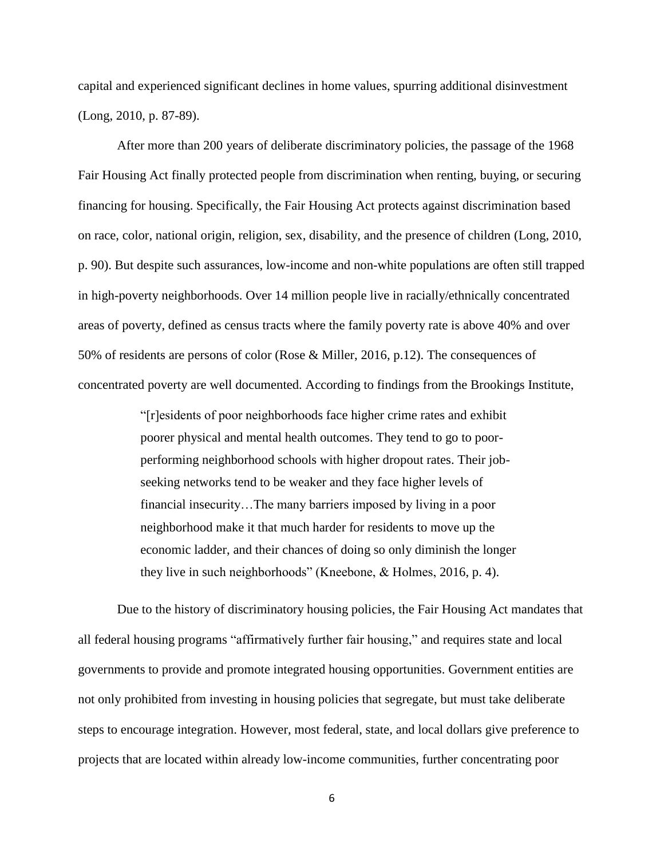capital and experienced significant declines in home values, spurring additional disinvestment (Long, 2010, p. 87-89).

After more than 200 years of deliberate discriminatory policies, the passage of the 1968 Fair Housing Act finally protected people from discrimination when renting, buying, or securing financing for housing. Specifically, the Fair Housing Act protects against discrimination based on race, color, national origin, religion, sex, disability, and the presence of children (Long, 2010, p. 90). But despite such assurances, low-income and non-white populations are often still trapped in high-poverty neighborhoods. Over 14 million people live in racially/ethnically concentrated areas of poverty, defined as census tracts where the family poverty rate is above 40% and over 50% of residents are persons of color (Rose & Miller, 2016, p.12). The consequences of concentrated poverty are well documented. According to findings from the Brookings Institute,

> "[r]esidents of poor neighborhoods face higher crime rates and exhibit poorer physical and mental health outcomes. They tend to go to poorperforming neighborhood schools with higher dropout rates. Their jobseeking networks tend to be weaker and they face higher levels of financial insecurity…The many barriers imposed by living in a poor neighborhood make it that much harder for residents to move up the economic ladder, and their chances of doing so only diminish the longer they live in such neighborhoods" (Kneebone, & Holmes, 2016, p. 4).

Due to the history of discriminatory housing policies, the Fair Housing Act mandates that all federal housing programs "affirmatively further fair housing," and requires state and local governments to provide and promote integrated housing opportunities. Government entities are not only prohibited from investing in housing policies that segregate, but must take deliberate steps to encourage integration. However, most federal, state, and local dollars give preference to projects that are located within already low-income communities, further concentrating poor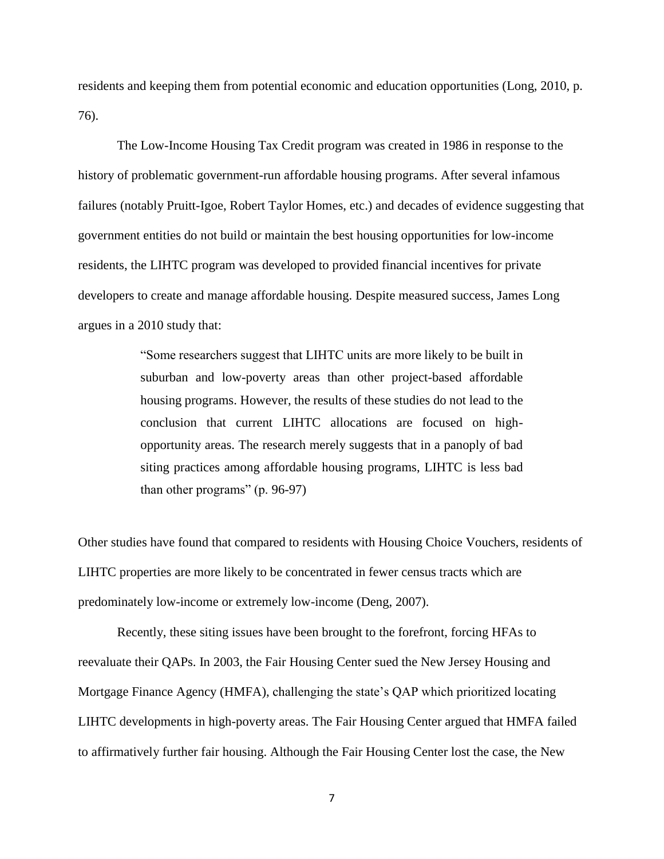residents and keeping them from potential economic and education opportunities (Long, 2010, p. 76).

The Low-Income Housing Tax Credit program was created in 1986 in response to the history of problematic government-run affordable housing programs. After several infamous failures (notably Pruitt-Igoe, Robert Taylor Homes, etc.) and decades of evidence suggesting that government entities do not build or maintain the best housing opportunities for low-income residents, the LIHTC program was developed to provided financial incentives for private developers to create and manage affordable housing. Despite measured success, James Long argues in a 2010 study that:

> "Some researchers suggest that LIHTC units are more likely to be built in suburban and low-poverty areas than other project-based affordable housing programs. However, the results of these studies do not lead to the conclusion that current LIHTC allocations are focused on highopportunity areas. The research merely suggests that in a panoply of bad siting practices among affordable housing programs, LIHTC is less bad than other programs" (p. 96-97)

Other studies have found that compared to residents with Housing Choice Vouchers, residents of LIHTC properties are more likely to be concentrated in fewer census tracts which are predominately low-income or extremely low-income (Deng, 2007).

Recently, these siting issues have been brought to the forefront, forcing HFAs to reevaluate their QAPs. In 2003, the Fair Housing Center sued the New Jersey Housing and Mortgage Finance Agency (HMFA), challenging the state's QAP which prioritized locating LIHTC developments in high-poverty areas. The Fair Housing Center argued that HMFA failed to affirmatively further fair housing. Although the Fair Housing Center lost the case, the New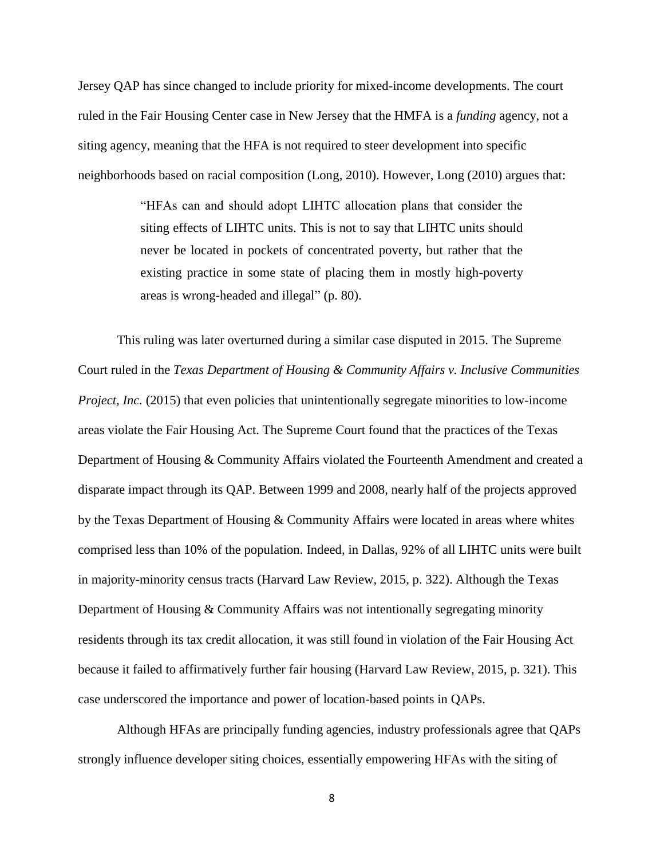Jersey QAP has since changed to include priority for mixed-income developments. The court ruled in the Fair Housing Center case in New Jersey that the HMFA is a *funding* agency, not a siting agency, meaning that the HFA is not required to steer development into specific neighborhoods based on racial composition (Long, 2010). However, Long (2010) argues that:

> "HFAs can and should adopt LIHTC allocation plans that consider the siting effects of LIHTC units. This is not to say that LIHTC units should never be located in pockets of concentrated poverty, but rather that the existing practice in some state of placing them in mostly high-poverty areas is wrong-headed and illegal" (p. 80).

This ruling was later overturned during a similar case disputed in 2015. The Supreme Court ruled in the *Texas Department of Housing & Community Affairs v. Inclusive Communities Project, Inc.* (2015) that even policies that unintentionally segregate minorities to low-income areas violate the Fair Housing Act. The Supreme Court found that the practices of the Texas Department of Housing & Community Affairs violated the Fourteenth Amendment and created a disparate impact through its QAP. Between 1999 and 2008, nearly half of the projects approved by the Texas Department of Housing & Community Affairs were located in areas where whites comprised less than 10% of the population. Indeed, in Dallas, 92% of all LIHTC units were built in majority-minority census tracts (Harvard Law Review, 2015, p. 322). Although the Texas Department of Housing & Community Affairs was not intentionally segregating minority residents through its tax credit allocation, it was still found in violation of the Fair Housing Act because it failed to affirmatively further fair housing (Harvard Law Review, 2015, p. 321). This case underscored the importance and power of location-based points in QAPs.

Although HFAs are principally funding agencies, industry professionals agree that QAPs strongly influence developer siting choices, essentially empowering HFAs with the siting of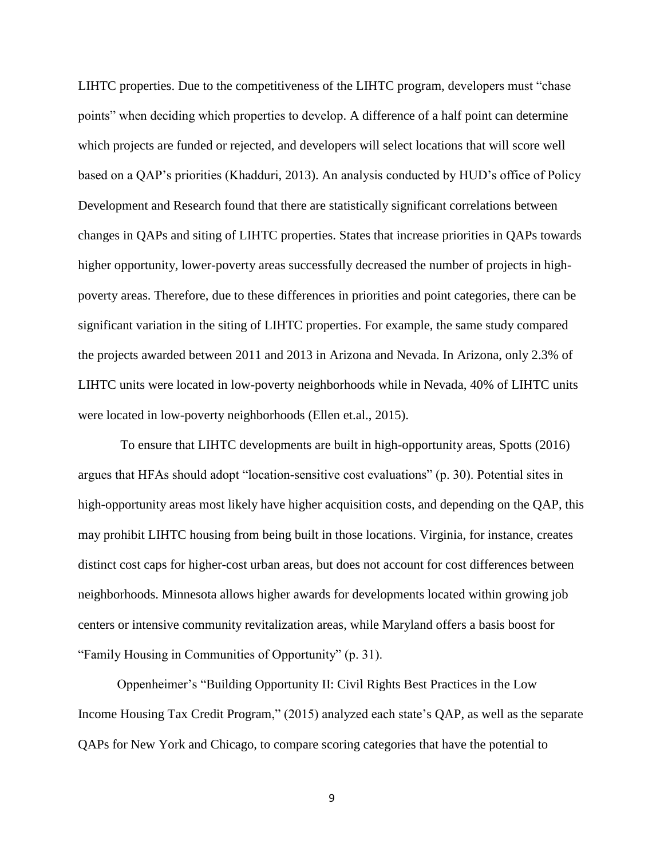LIHTC properties. Due to the competitiveness of the LIHTC program, developers must "chase points" when deciding which properties to develop. A difference of a half point can determine which projects are funded or rejected, and developers will select locations that will score well based on a QAP's priorities (Khadduri, 2013). An analysis conducted by HUD's office of Policy Development and Research found that there are statistically significant correlations between changes in QAPs and siting of LIHTC properties. States that increase priorities in QAPs towards higher opportunity, lower-poverty areas successfully decreased the number of projects in highpoverty areas. Therefore, due to these differences in priorities and point categories, there can be significant variation in the siting of LIHTC properties. For example, the same study compared the projects awarded between 2011 and 2013 in Arizona and Nevada. In Arizona, only 2.3% of LIHTC units were located in low-poverty neighborhoods while in Nevada, 40% of LIHTC units were located in low-poverty neighborhoods (Ellen et.al., 2015).

To ensure that LIHTC developments are built in high-opportunity areas, Spotts (2016) argues that HFAs should adopt "location-sensitive cost evaluations" (p. 30). Potential sites in high-opportunity areas most likely have higher acquisition costs, and depending on the QAP, this may prohibit LIHTC housing from being built in those locations. Virginia, for instance, creates distinct cost caps for higher-cost urban areas, but does not account for cost differences between neighborhoods. Minnesota allows higher awards for developments located within growing job centers or intensive community revitalization areas, while Maryland offers a basis boost for "Family Housing in Communities of Opportunity" (p. 31).

Oppenheimer's "Building Opportunity II: Civil Rights Best Practices in the Low Income Housing Tax Credit Program," (2015) analyzed each state's QAP, as well as the separate QAPs for New York and Chicago, to compare scoring categories that have the potential to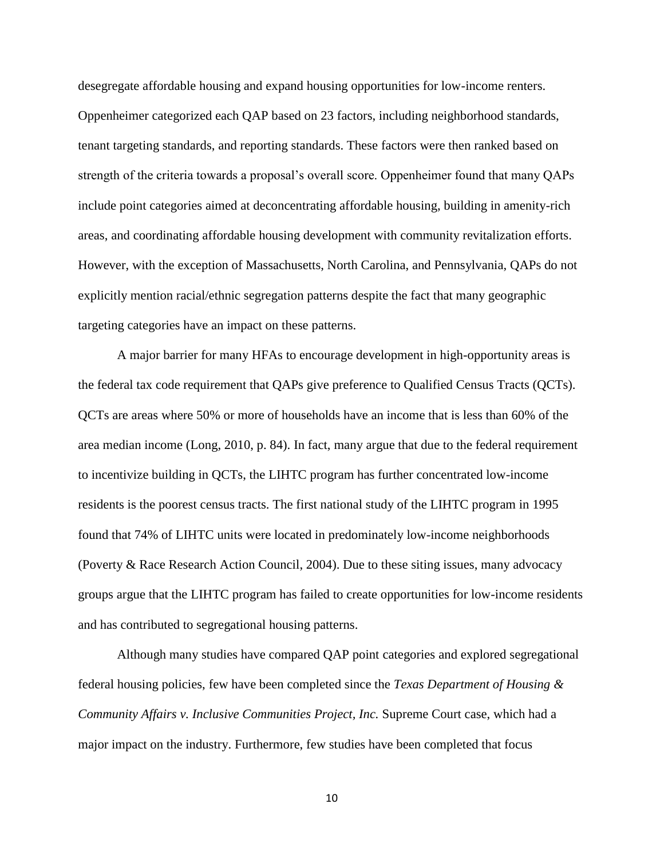desegregate affordable housing and expand housing opportunities for low-income renters. Oppenheimer categorized each QAP based on 23 factors, including neighborhood standards, tenant targeting standards, and reporting standards. These factors were then ranked based on strength of the criteria towards a proposal's overall score. Oppenheimer found that many QAPs include point categories aimed at deconcentrating affordable housing, building in amenity-rich areas, and coordinating affordable housing development with community revitalization efforts. However, with the exception of Massachusetts, North Carolina, and Pennsylvania, QAPs do not explicitly mention racial/ethnic segregation patterns despite the fact that many geographic targeting categories have an impact on these patterns.

A major barrier for many HFAs to encourage development in high-opportunity areas is the federal tax code requirement that QAPs give preference to Qualified Census Tracts (QCTs). QCTs are areas where 50% or more of households have an income that is less than 60% of the area median income (Long, 2010, p. 84). In fact, many argue that due to the federal requirement to incentivize building in QCTs, the LIHTC program has further concentrated low-income residents is the poorest census tracts. The first national study of the LIHTC program in 1995 found that 74% of LIHTC units were located in predominately low-income neighborhoods (Poverty & Race Research Action Council, 2004). Due to these siting issues, many advocacy groups argue that the LIHTC program has failed to create opportunities for low-income residents and has contributed to segregational housing patterns.

Although many studies have compared QAP point categories and explored segregational federal housing policies, few have been completed since the *Texas Department of Housing & Community Affairs v. Inclusive Communities Project, Inc.* Supreme Court case, which had a major impact on the industry. Furthermore, few studies have been completed that focus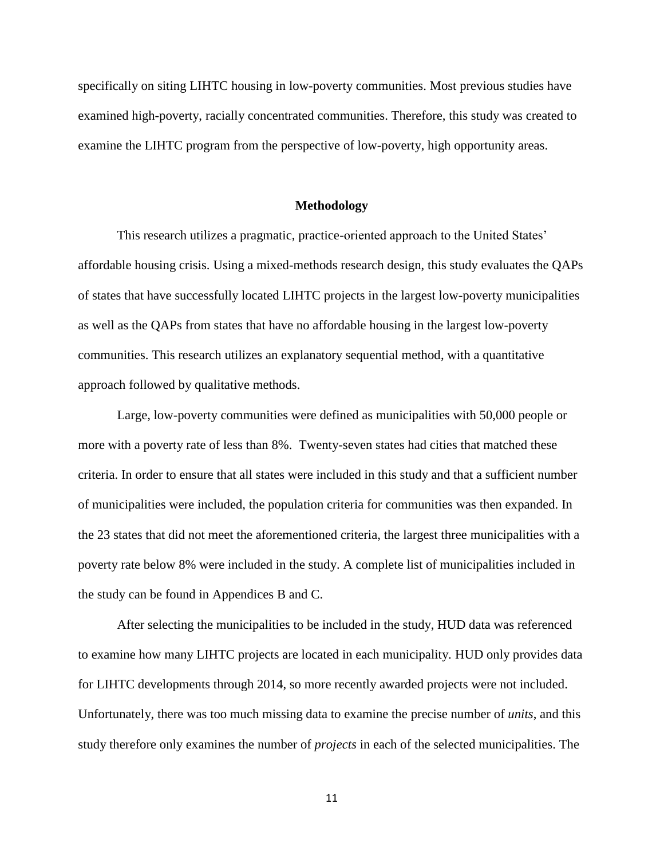specifically on siting LIHTC housing in low-poverty communities. Most previous studies have examined high-poverty, racially concentrated communities. Therefore, this study was created to examine the LIHTC program from the perspective of low-poverty, high opportunity areas.

#### **Methodology**

This research utilizes a pragmatic, practice-oriented approach to the United States' affordable housing crisis. Using a mixed-methods research design, this study evaluates the QAPs of states that have successfully located LIHTC projects in the largest low-poverty municipalities as well as the QAPs from states that have no affordable housing in the largest low-poverty communities. This research utilizes an explanatory sequential method, with a quantitative approach followed by qualitative methods.

Large, low-poverty communities were defined as municipalities with 50,000 people or more with a poverty rate of less than 8%. Twenty-seven states had cities that matched these criteria. In order to ensure that all states were included in this study and that a sufficient number of municipalities were included, the population criteria for communities was then expanded. In the 23 states that did not meet the aforementioned criteria, the largest three municipalities with a poverty rate below 8% were included in the study. A complete list of municipalities included in the study can be found in Appendices B and C.

After selecting the municipalities to be included in the study, HUD data was referenced to examine how many LIHTC projects are located in each municipality. HUD only provides data for LIHTC developments through 2014, so more recently awarded projects were not included. Unfortunately, there was too much missing data to examine the precise number of *units*, and this study therefore only examines the number of *projects* in each of the selected municipalities. The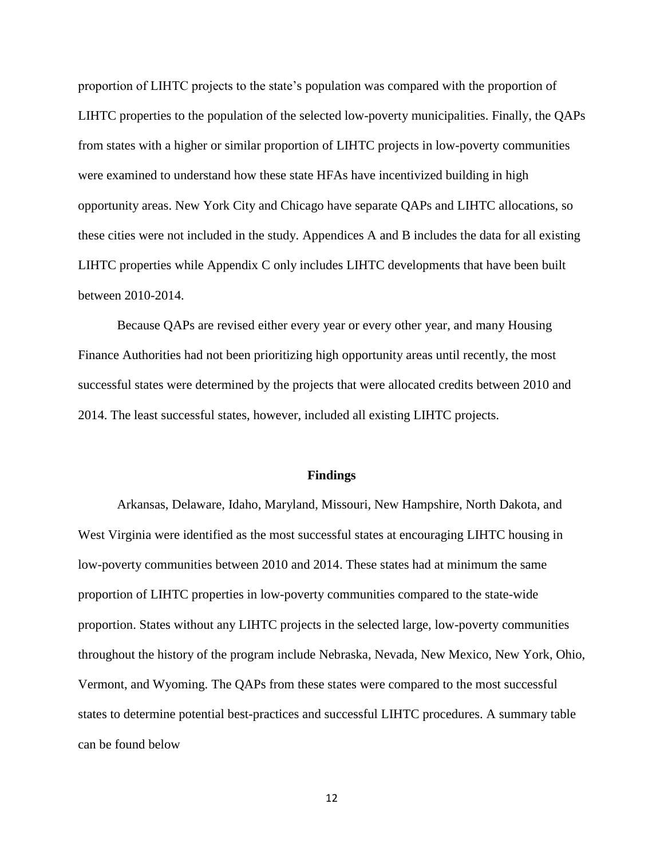proportion of LIHTC projects to the state's population was compared with the proportion of LIHTC properties to the population of the selected low-poverty municipalities. Finally, the QAPs from states with a higher or similar proportion of LIHTC projects in low-poverty communities were examined to understand how these state HFAs have incentivized building in high opportunity areas. New York City and Chicago have separate QAPs and LIHTC allocations, so these cities were not included in the study. Appendices A and B includes the data for all existing LIHTC properties while Appendix C only includes LIHTC developments that have been built between 2010-2014.

Because QAPs are revised either every year or every other year, and many Housing Finance Authorities had not been prioritizing high opportunity areas until recently, the most successful states were determined by the projects that were allocated credits between 2010 and 2014. The least successful states, however, included all existing LIHTC projects.

#### **Findings**

Arkansas, Delaware, Idaho, Maryland, Missouri, New Hampshire, North Dakota, and West Virginia were identified as the most successful states at encouraging LIHTC housing in low-poverty communities between 2010 and 2014. These states had at minimum the same proportion of LIHTC properties in low-poverty communities compared to the state-wide proportion. States without any LIHTC projects in the selected large, low-poverty communities throughout the history of the program include Nebraska, Nevada, New Mexico, New York, Ohio, Vermont, and Wyoming. The QAPs from these states were compared to the most successful states to determine potential best-practices and successful LIHTC procedures. A summary table can be found below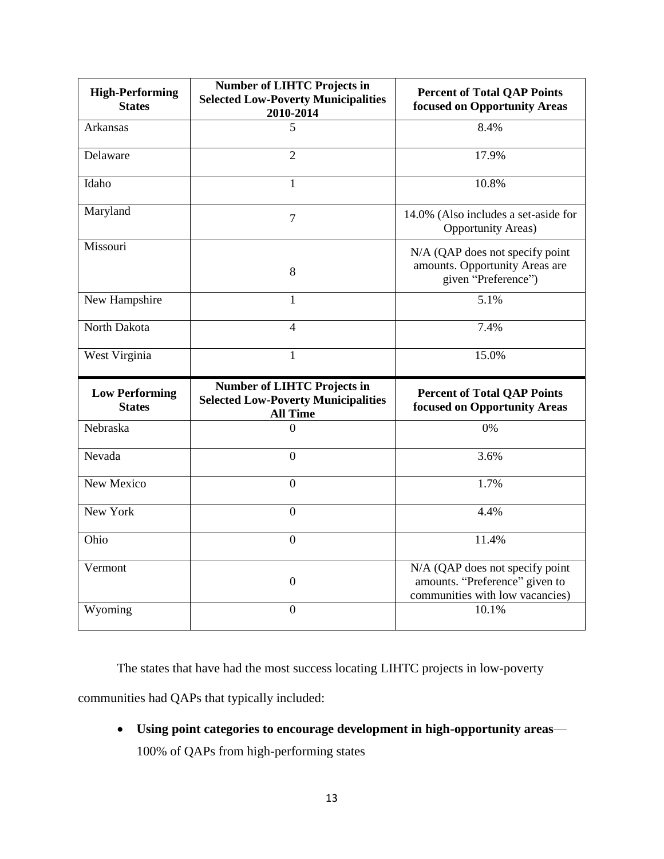| <b>High-Performing</b><br><b>States</b> | <b>Number of LIHTC Projects in</b><br><b>Selected Low-Poverty Municipalities</b><br>2010-2014       | <b>Percent of Total QAP Points</b><br>focused on Opportunity Areas                                   |
|-----------------------------------------|-----------------------------------------------------------------------------------------------------|------------------------------------------------------------------------------------------------------|
| Arkansas                                | 5                                                                                                   | 8.4%                                                                                                 |
| Delaware                                | $\overline{2}$                                                                                      | 17.9%                                                                                                |
| Idaho                                   | 1                                                                                                   | 10.8%                                                                                                |
| Maryland                                | $\overline{7}$                                                                                      | 14.0% (Also includes a set-aside for<br><b>Opportunity Areas)</b>                                    |
| Missouri                                | 8                                                                                                   | N/A (QAP does not specify point<br>amounts. Opportunity Areas are<br>given "Preference")             |
| New Hampshire                           | 1                                                                                                   | 5.1%                                                                                                 |
| North Dakota                            | $\overline{4}$                                                                                      | 7.4%                                                                                                 |
| West Virginia                           | $\mathbf{1}$                                                                                        | 15.0%                                                                                                |
|                                         |                                                                                                     |                                                                                                      |
| <b>Low Performing</b><br><b>States</b>  | <b>Number of LIHTC Projects in</b><br><b>Selected Low-Poverty Municipalities</b><br><b>All Time</b> | <b>Percent of Total QAP Points</b><br>focused on Opportunity Areas                                   |
| Nebraska                                | $\theta$                                                                                            | 0%                                                                                                   |
| Nevada                                  | $\mathbf{0}$                                                                                        | 3.6%                                                                                                 |
| New Mexico                              | $\overline{0}$                                                                                      | 1.7%                                                                                                 |
| New York                                | $\overline{0}$                                                                                      | 4.4%                                                                                                 |
| Ohio                                    | $\Omega$                                                                                            | 11.4%                                                                                                |
| Vermont                                 | $\boldsymbol{0}$                                                                                    | N/A (QAP does not specify point<br>amounts. "Preference" given to<br>communities with low vacancies) |

The states that have had the most success locating LIHTC projects in low-poverty communities had QAPs that typically included:

• **Using point categories to encourage development in high-opportunity areas**— 100% of QAPs from high-performing states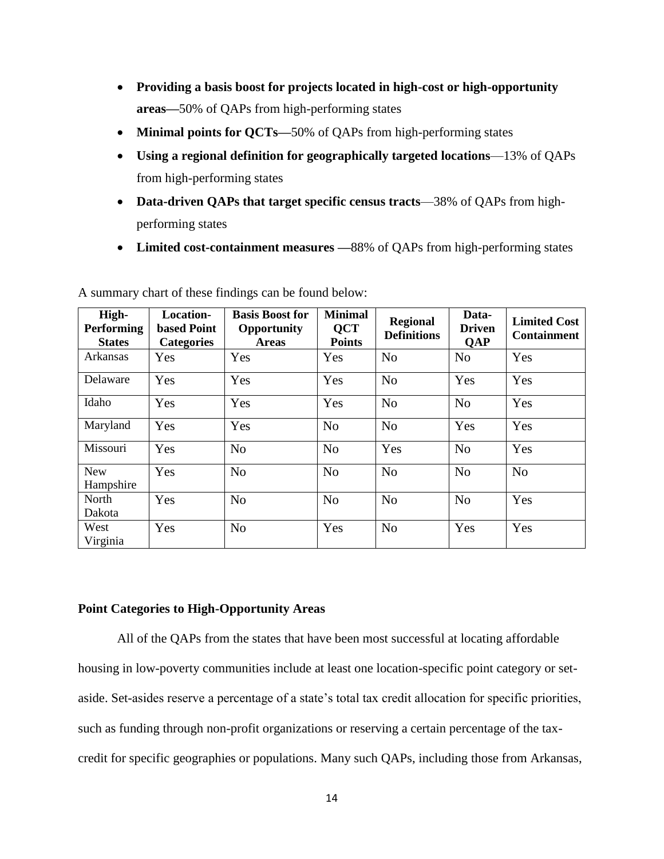- **Providing a basis boost for projects located in high-cost or high-opportunity areas—**50% of QAPs from high-performing states
- **Minimal points for QCTs—50%** of QAPs from high-performing states
- **Using a regional definition for geographically targeted locations**—13% of QAPs from high-performing states
- **Data-driven QAPs that target specific census tracts**—38% of QAPs from highperforming states
- **Limited cost-containment measures —**88% of QAPs from high-performing states

| High-<br><b>Performing</b><br><b>States</b> | Location-<br><b>based Point</b><br><b>Categories</b> | <b>Basis Boost for</b><br><b>Opportunity</b><br><b>Areas</b> | <b>Minimal</b><br><b>QCT</b><br><b>Points</b> | <b>Regional</b><br><b>Definitions</b> | Data-<br><b>Driven</b><br><b>QAP</b> | <b>Limited Cost</b><br><b>Containment</b> |
|---------------------------------------------|------------------------------------------------------|--------------------------------------------------------------|-----------------------------------------------|---------------------------------------|--------------------------------------|-------------------------------------------|
| Arkansas                                    | Yes                                                  | Yes                                                          | Yes                                           | N <sub>o</sub>                        | N <sub>o</sub>                       | Yes                                       |
| Delaware                                    | Yes                                                  | Yes                                                          | Yes                                           | N <sub>o</sub>                        | Yes                                  | Yes                                       |
| Idaho                                       | Yes                                                  | Yes                                                          | Yes                                           | N <sub>0</sub>                        | N <sub>o</sub>                       | Yes                                       |
| Maryland                                    | Yes                                                  | Yes                                                          | N <sub>o</sub>                                | N <sub>o</sub>                        | Yes                                  | Yes                                       |
| Missouri                                    | Yes                                                  | N <sub>o</sub>                                               | N <sub>o</sub>                                | Yes                                   | N <sub>o</sub>                       | Yes                                       |
| <b>New</b><br>Hampshire                     | Yes                                                  | N <sub>o</sub>                                               | N <sub>o</sub>                                | N <sub>o</sub>                        | N <sub>o</sub>                       | N <sub>o</sub>                            |
| North<br>Dakota                             | Yes                                                  | N <sub>o</sub>                                               | N <sub>o</sub>                                | N <sub>o</sub>                        | N <sub>o</sub>                       | Yes                                       |
| West<br>Virginia                            | Yes                                                  | N <sub>o</sub>                                               | Yes                                           | N <sub>o</sub>                        | Yes                                  | Yes                                       |

A summary chart of these findings can be found below:

## **Point Categories to High-Opportunity Areas**

All of the QAPs from the states that have been most successful at locating affordable housing in low-poverty communities include at least one location-specific point category or setaside. Set-asides reserve a percentage of a state's total tax credit allocation for specific priorities, such as funding through non-profit organizations or reserving a certain percentage of the taxcredit for specific geographies or populations. Many such QAPs, including those from Arkansas,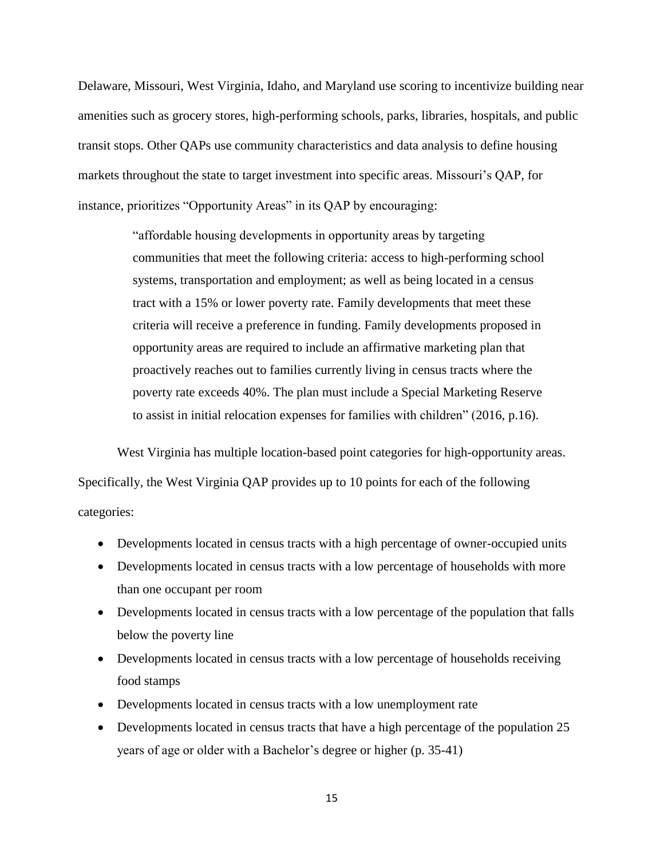Delaware, Missouri, West Virginia, Idaho, and Maryland use scoring to incentivize building near amenities such as grocery stores, high-performing schools, parks, libraries, hospitals, and public transit stops. Other QAPs use community characteristics and data analysis to define housing markets throughout the state to target investment into specific areas. Missouri's QAP, for instance, prioritizes "Opportunity Areas" in its QAP by encouraging:

> "affordable housing developments in opportunity areas by targeting communities that meet the following criteria: access to high-performing school systems, transportation and employment; as well as being located in a census tract with a 15% or lower poverty rate. Family developments that meet these criteria will receive a preference in funding. Family developments proposed in opportunity areas are required to include an affirmative marketing plan that proactively reaches out to families currently living in census tracts where the poverty rate exceeds 40%. The plan must include a Special Marketing Reserve to assist in initial relocation expenses for families with children" (2016, p.16).

West Virginia has multiple location-based point categories for high-opportunity areas. Specifically, the West Virginia QAP provides up to 10 points for each of the following categories:

- Developments located in census tracts with a high percentage of owner-occupied units
- Developments located in census tracts with a low percentage of households with more than one occupant per room
- Developments located in census tracts with a low percentage of the population that falls below the poverty line
- Developments located in census tracts with a low percentage of households receiving food stamps
- Developments located in census tracts with a low unemployment rate
- Developments located in census tracts that have a high percentage of the population 25 years of age or older with a Bachelor's degree or higher (p. 35-41)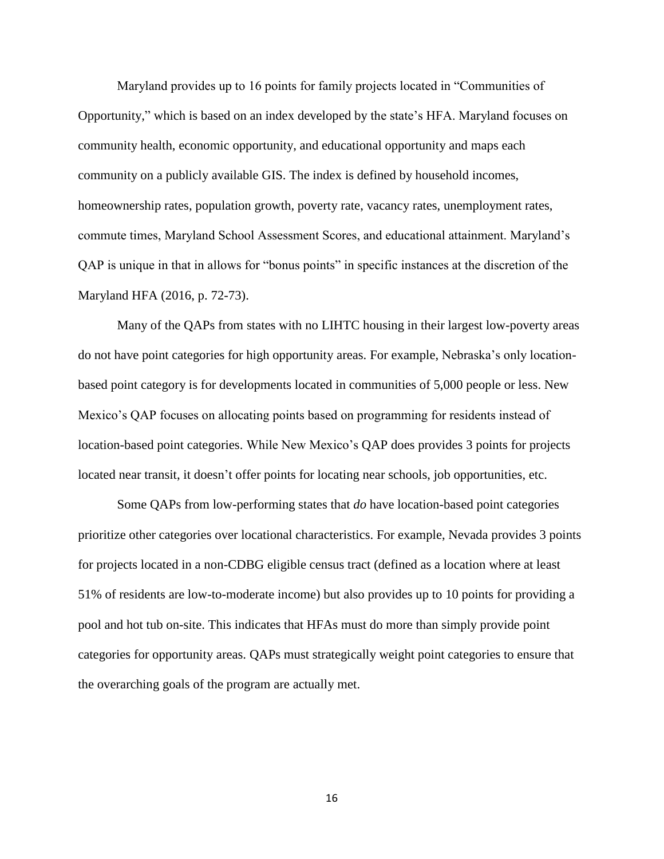Maryland provides up to 16 points for family projects located in "Communities of Opportunity," which is based on an index developed by the state's HFA. Maryland focuses on community health, economic opportunity, and educational opportunity and maps each community on a publicly available GIS. The index is defined by household incomes, homeownership rates, population growth, poverty rate, vacancy rates, unemployment rates, commute times, Maryland School Assessment Scores, and educational attainment. Maryland's QAP is unique in that in allows for "bonus points" in specific instances at the discretion of the Maryland HFA (2016, p. 72-73).

Many of the QAPs from states with no LIHTC housing in their largest low-poverty areas do not have point categories for high opportunity areas. For example, Nebraska's only locationbased point category is for developments located in communities of 5,000 people or less. New Mexico's QAP focuses on allocating points based on programming for residents instead of location-based point categories. While New Mexico's QAP does provides 3 points for projects located near transit, it doesn't offer points for locating near schools, job opportunities, etc.

Some QAPs from low-performing states that *do* have location-based point categories prioritize other categories over locational characteristics. For example, Nevada provides 3 points for projects located in a non-CDBG eligible census tract (defined as a location where at least 51% of residents are low-to-moderate income) but also provides up to 10 points for providing a pool and hot tub on-site. This indicates that HFAs must do more than simply provide point categories for opportunity areas. QAPs must strategically weight point categories to ensure that the overarching goals of the program are actually met.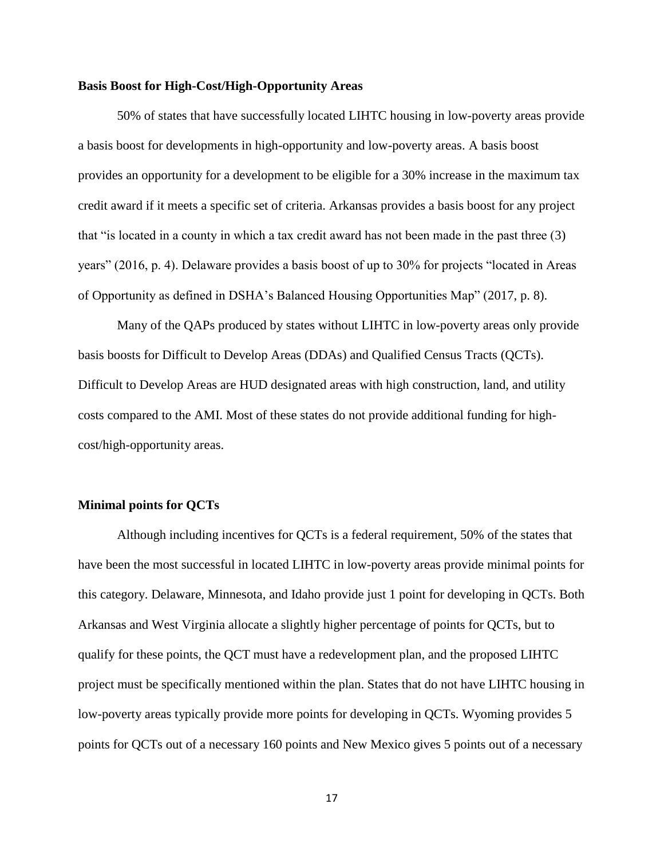### **Basis Boost for High-Cost/High-Opportunity Areas**

50% of states that have successfully located LIHTC housing in low-poverty areas provide a basis boost for developments in high-opportunity and low-poverty areas. A basis boost provides an opportunity for a development to be eligible for a 30% increase in the maximum tax credit award if it meets a specific set of criteria. Arkansas provides a basis boost for any project that "is located in a county in which a tax credit award has not been made in the past three (3) years" (2016, p. 4). Delaware provides a basis boost of up to 30% for projects "located in Areas of Opportunity as defined in DSHA's Balanced Housing Opportunities Map" (2017, p. 8).

Many of the QAPs produced by states without LIHTC in low-poverty areas only provide basis boosts for Difficult to Develop Areas (DDAs) and Qualified Census Tracts (QCTs). Difficult to Develop Areas are HUD designated areas with high construction, land, and utility costs compared to the AMI. Most of these states do not provide additional funding for highcost/high-opportunity areas.

### **Minimal points for QCTs**

Although including incentives for QCTs is a federal requirement, 50% of the states that have been the most successful in located LIHTC in low-poverty areas provide minimal points for this category. Delaware, Minnesota, and Idaho provide just 1 point for developing in QCTs. Both Arkansas and West Virginia allocate a slightly higher percentage of points for QCTs, but to qualify for these points, the QCT must have a redevelopment plan, and the proposed LIHTC project must be specifically mentioned within the plan. States that do not have LIHTC housing in low-poverty areas typically provide more points for developing in QCTs. Wyoming provides 5 points for QCTs out of a necessary 160 points and New Mexico gives 5 points out of a necessary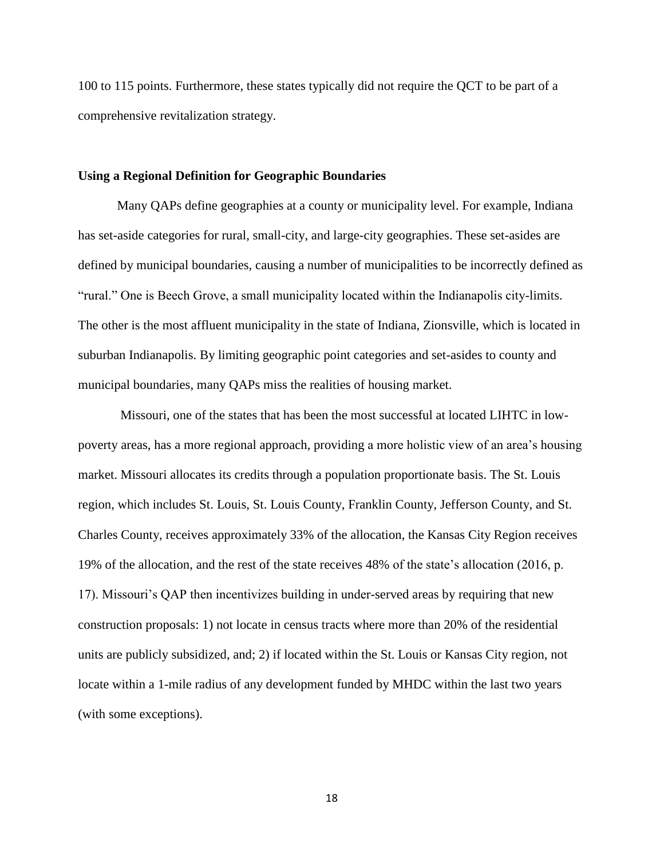100 to 115 points. Furthermore, these states typically did not require the QCT to be part of a comprehensive revitalization strategy.

### **Using a Regional Definition for Geographic Boundaries**

Many QAPs define geographies at a county or municipality level. For example, Indiana has set-aside categories for rural, small-city, and large-city geographies. These set-asides are defined by municipal boundaries, causing a number of municipalities to be incorrectly defined as "rural." One is Beech Grove, a small municipality located within the Indianapolis city-limits. The other is the most affluent municipality in the state of Indiana, Zionsville, which is located in suburban Indianapolis. By limiting geographic point categories and set-asides to county and municipal boundaries, many QAPs miss the realities of housing market.

Missouri, one of the states that has been the most successful at located LIHTC in lowpoverty areas, has a more regional approach, providing a more holistic view of an area's housing market. Missouri allocates its credits through a population proportionate basis. The St. Louis region, which includes St. Louis, St. Louis County, Franklin County, Jefferson County, and St. Charles County, receives approximately 33% of the allocation, the Kansas City Region receives 19% of the allocation, and the rest of the state receives 48% of the state's allocation (2016, p. 17). Missouri's QAP then incentivizes building in under-served areas by requiring that new construction proposals: 1) not locate in census tracts where more than 20% of the residential units are publicly subsidized, and; 2) if located within the St. Louis or Kansas City region, not locate within a 1-mile radius of any development funded by MHDC within the last two years (with some exceptions).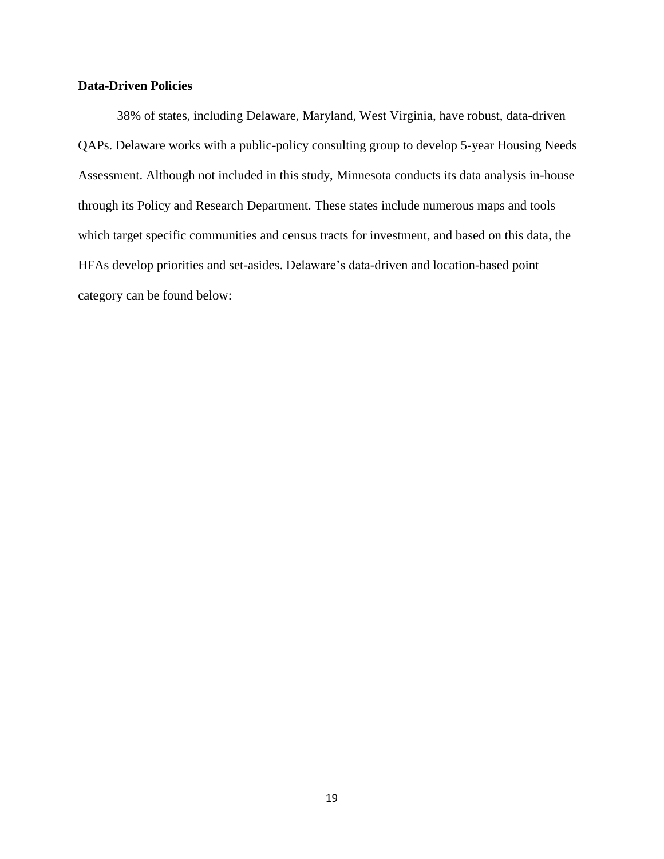## **Data-Driven Policies**

38% of states, including Delaware, Maryland, West Virginia, have robust, data-driven QAPs. Delaware works with a public-policy consulting group to develop 5-year Housing Needs Assessment. Although not included in this study, Minnesota conducts its data analysis in-house through its Policy and Research Department. These states include numerous maps and tools which target specific communities and census tracts for investment, and based on this data, the HFAs develop priorities and set-asides. Delaware's data-driven and location-based point category can be found below: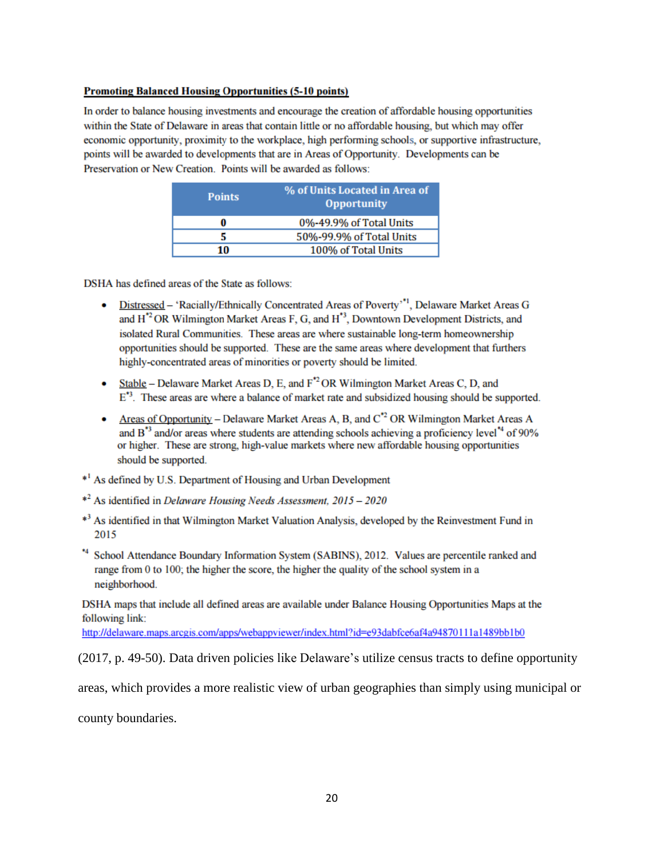#### **Promoting Balanced Housing Opportunities (5-10 points)**

In order to balance housing investments and encourage the creation of affordable housing opportunities within the State of Delaware in areas that contain little or no affordable housing, but which may offer economic opportunity, proximity to the workplace, high performing schools, or supportive infrastructure, points will be awarded to developments that are in Areas of Opportunity. Developments can be Preservation or New Creation. Points will be awarded as follows:

| <b>Points</b> | % of Units Located in Area of<br><b>Opportunity</b> |
|---------------|-----------------------------------------------------|
| 0             | 0%-49.9% of Total Units                             |
| 5             | 50%-99.9% of Total Units                            |
| 10            | 100% of Total Units                                 |

DSHA has defined areas of the State as follows:

- Distressed 'Racially/Ethnically Concentrated Areas of Poverty'<sup>\*1</sup>, Delaware Market Areas G  $\bullet$ and H<sup>\*2</sup> OR Wilmington Market Areas F, G, and H<sup>\*3</sup>, Downtown Development Districts, and isolated Rural Communities. These areas are where sustainable long-term homeownership opportunities should be supported. These are the same areas where development that furthers highly-concentrated areas of minorities or poverty should be limited.
- Stable Delaware Market Areas D, E, and  $F^2$  OR Wilmington Market Areas C, D, and  $E^{\ast 3}$ . These areas are where a balance of market rate and subsidized housing should be supported.
- Areas of Opportunity Delaware Market Areas A, B, and  $C^2$  OR Wilmington Market Areas A and B<sup>\*3</sup> and/or areas where students are attending schools achieving a proficiency level<sup>\*4</sup> of 90% or higher. These are strong, high-value markets where new affordable housing opportunities should be supported.
- \*<sup>1</sup> As defined by U.S. Department of Housing and Urban Development
- \*<sup>2</sup> As identified in *Delaware Housing Needs Assessment*, 2015 2020
- \*<sup>3</sup> As identified in that Wilmington Market Valuation Analysis, developed by the Reinvestment Fund in 2015
- \*4 School Attendance Boundary Information System (SABINS), 2012. Values are percentile ranked and range from 0 to 100; the higher the score, the higher the quality of the school system in a neighborhood.

DSHA maps that include all defined areas are available under Balance Housing Opportunities Maps at the following link:

http://delaware.maps.arcgis.com/apps/webappviewer/index.html?id=e93dabfce6af4a94870111a1489bb1b0

(2017, p. 49-50). Data driven policies like Delaware's utilize census tracts to define opportunity

areas, which provides a more realistic view of urban geographies than simply using municipal or

county boundaries.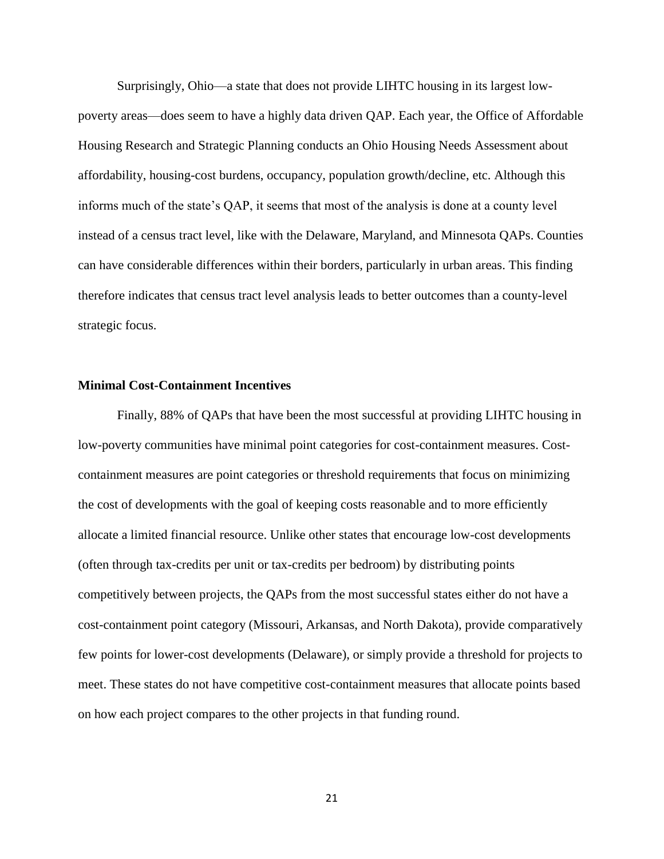Surprisingly, Ohio—a state that does not provide LIHTC housing in its largest lowpoverty areas—does seem to have a highly data driven QAP. Each year, the Office of Affordable Housing Research and Strategic Planning conducts an Ohio Housing Needs Assessment about affordability, housing-cost burdens, occupancy, population growth/decline, etc. Although this informs much of the state's QAP, it seems that most of the analysis is done at a county level instead of a census tract level, like with the Delaware, Maryland, and Minnesota QAPs. Counties can have considerable differences within their borders, particularly in urban areas. This finding therefore indicates that census tract level analysis leads to better outcomes than a county-level strategic focus.

#### **Minimal Cost-Containment Incentives**

Finally, 88% of QAPs that have been the most successful at providing LIHTC housing in low-poverty communities have minimal point categories for cost-containment measures. Costcontainment measures are point categories or threshold requirements that focus on minimizing the cost of developments with the goal of keeping costs reasonable and to more efficiently allocate a limited financial resource. Unlike other states that encourage low-cost developments (often through tax-credits per unit or tax-credits per bedroom) by distributing points competitively between projects, the QAPs from the most successful states either do not have a cost-containment point category (Missouri, Arkansas, and North Dakota), provide comparatively few points for lower-cost developments (Delaware), or simply provide a threshold for projects to meet. These states do not have competitive cost-containment measures that allocate points based on how each project compares to the other projects in that funding round.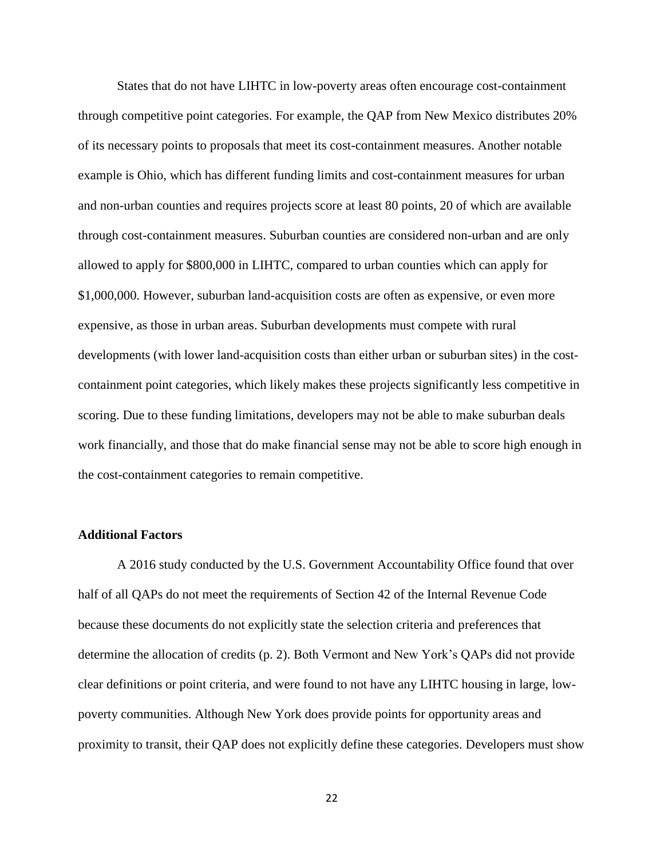States that do not have LIHTC in low-poverty areas often encourage cost-containment through competitive point categories. For example, the QAP from New Mexico distributes 20% of its necessary points to proposals that meet its cost-containment measures. Another notable example is Ohio, which has different funding limits and cost-containment measures for urban and non-urban counties and requires projects score at least 80 points, 20 of which are available through cost-containment measures. Suburban counties are considered non-urban and are only allowed to apply for \$800,000 in LIHTC, compared to urban counties which can apply for \$1,000,000. However, suburban land-acquisition costs are often as expensive, or even more expensive, as those in urban areas. Suburban developments must compete with rural developments (with lower land-acquisition costs than either urban or suburban sites) in the costcontainment point categories, which likely makes these projects significantly less competitive in scoring. Due to these funding limitations, developers may not be able to make suburban deals work financially, and those that do make financial sense may not be able to score high enough in the cost-containment categories to remain competitive.

### **Additional Factors**

A 2016 study conducted by the U.S. Government Accountability Office found that over half of all QAPs do not meet the requirements of Section 42 of the Internal Revenue Code because these documents do not explicitly state the selection criteria and preferences that determine the allocation of credits (p. 2). Both Vermont and New York's QAPs did not provide clear definitions or point criteria, and were found to not have any LIHTC housing in large, lowpoverty communities. Although New York does provide points for opportunity areas and proximity to transit, their QAP does not explicitly define these categories. Developers must show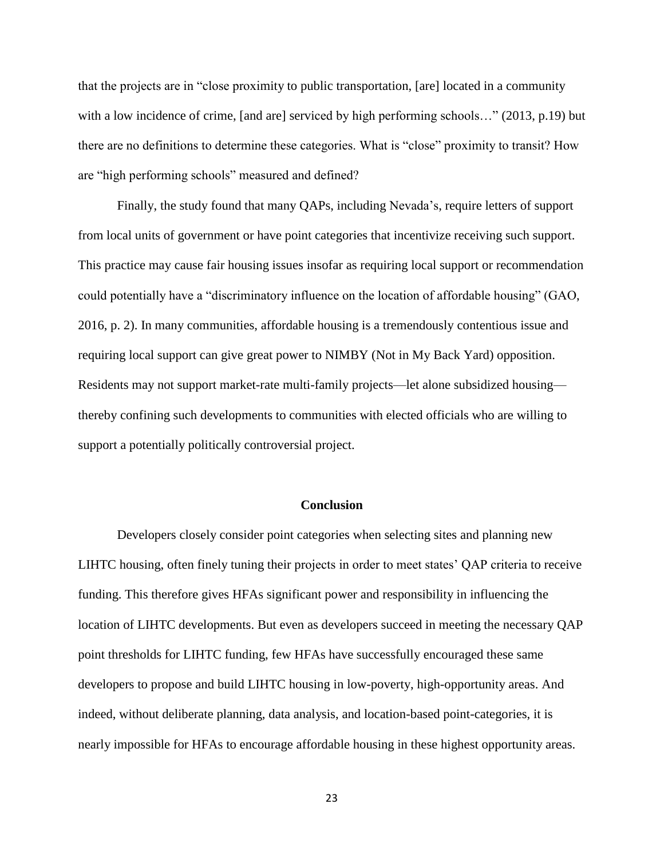that the projects are in "close proximity to public transportation, [are] located in a community with a low incidence of crime, [and are] serviced by high performing schools..." (2013, p.19) but there are no definitions to determine these categories. What is "close" proximity to transit? How are "high performing schools" measured and defined?

Finally, the study found that many QAPs, including Nevada's, require letters of support from local units of government or have point categories that incentivize receiving such support. This practice may cause fair housing issues insofar as requiring local support or recommendation could potentially have a "discriminatory influence on the location of affordable housing" (GAO, 2016, p. 2). In many communities, affordable housing is a tremendously contentious issue and requiring local support can give great power to NIMBY (Not in My Back Yard) opposition. Residents may not support market-rate multi-family projects—let alone subsidized housing thereby confining such developments to communities with elected officials who are willing to support a potentially politically controversial project.

#### **Conclusion**

Developers closely consider point categories when selecting sites and planning new LIHTC housing, often finely tuning their projects in order to meet states' QAP criteria to receive funding. This therefore gives HFAs significant power and responsibility in influencing the location of LIHTC developments. But even as developers succeed in meeting the necessary QAP point thresholds for LIHTC funding, few HFAs have successfully encouraged these same developers to propose and build LIHTC housing in low-poverty, high-opportunity areas. And indeed, without deliberate planning, data analysis, and location-based point-categories, it is nearly impossible for HFAs to encourage affordable housing in these highest opportunity areas.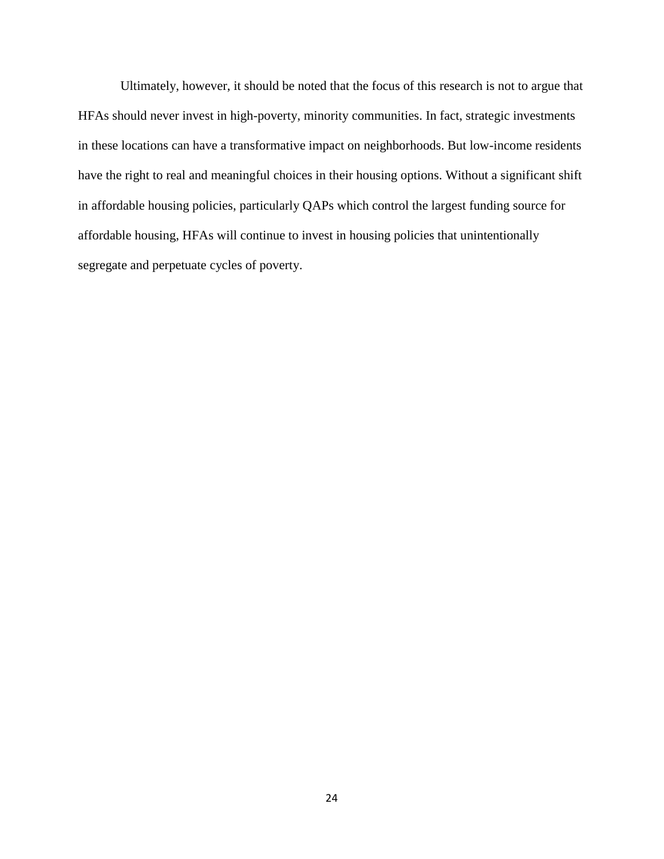Ultimately, however, it should be noted that the focus of this research is not to argue that HFAs should never invest in high-poverty, minority communities. In fact, strategic investments in these locations can have a transformative impact on neighborhoods. But low-income residents have the right to real and meaningful choices in their housing options. Without a significant shift in affordable housing policies, particularly QAPs which control the largest funding source for affordable housing, HFAs will continue to invest in housing policies that unintentionally segregate and perpetuate cycles of poverty.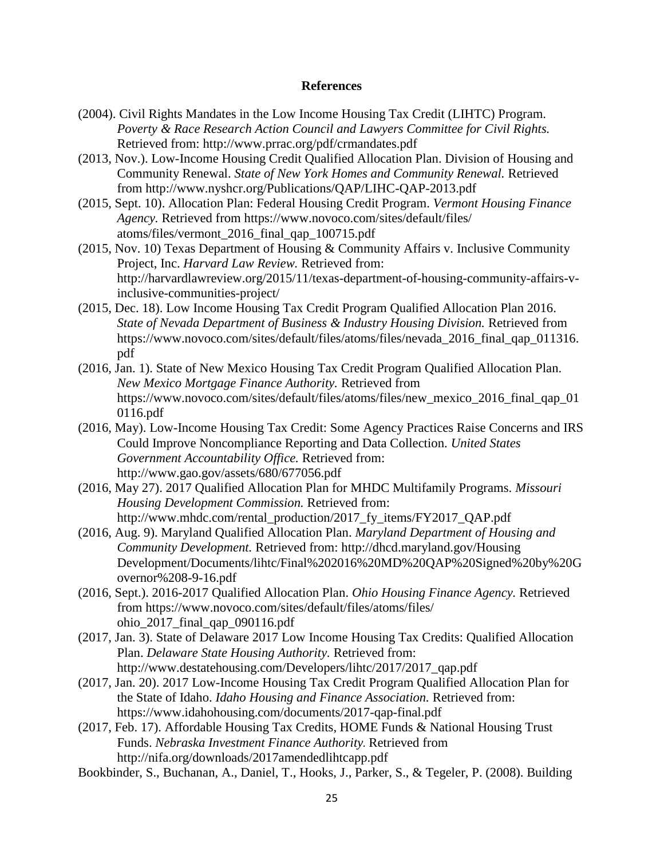### **References**

- (2004). Civil Rights Mandates in the Low Income Housing Tax Credit (LIHTC) Program. *Poverty & Race Research Action Council and Lawyers Committee for Civil Rights.*  Retrieved from: http://www.prrac.org/pdf/crmandates.pdf
- (2013, Nov.). Low-Income Housing Credit Qualified Allocation Plan. Division of Housing and Community Renewal. *State of New York Homes and Community Renewal.* Retrieved from http://www.nyshcr.org/Publications/QAP/LIHC-QAP-2013.pdf
- (2015, Sept. 10). Allocation Plan: Federal Housing Credit Program. *Vermont Housing Finance Agency.* Retrieved from https://www.novoco.com/sites/default/files/ atoms/files/vermont\_2016\_final\_qap\_100715.pdf
- (2015, Nov. 10) Texas Department of Housing & Community Affairs v. Inclusive Community Project, Inc. *Harvard Law Review.* Retrieved from: http://harvardlawreview.org/2015/11/texas-department-of-housing-community-affairs-vinclusive-communities-project/
- (2015, Dec. 18). Low Income Housing Tax Credit Program Qualified Allocation Plan 2016. *State of Nevada Department of Business & Industry Housing Division.* Retrieved from https://www.novoco.com/sites/default/files/atoms/files/nevada\_2016\_final\_qap\_011316. pdf
- (2016, Jan. 1). State of New Mexico Housing Tax Credit Program Qualified Allocation Plan. *New Mexico Mortgage Finance Authority.* Retrieved from https://www.novoco.com/sites/default/files/atoms/files/new\_mexico\_2016\_final\_qap\_01 0116.pdf
- (2016, May). Low-Income Housing Tax Credit: Some Agency Practices Raise Concerns and IRS Could Improve Noncompliance Reporting and Data Collection. *United States Government Accountability Office.* Retrieved from: http://www.gao.gov/assets/680/677056.pdf
- (2016, May 27). 2017 Qualified Allocation Plan for MHDC Multifamily Programs. *Missouri Housing Development Commission.* Retrieved from: http://www.mhdc.com/rental\_production/2017\_fy\_items/FY2017\_QAP.pdf
- (2016, Aug. 9). Maryland Qualified Allocation Plan. *Maryland Department of Housing and Community Development.* Retrieved from: http://dhcd.maryland.gov/Housing Development/Documents/lihtc/Final%202016%20MD%20QAP%20Signed%20by%20G overnor%208-9-16.pdf
- (2016, Sept.). 2016-2017 Qualified Allocation Plan. *Ohio Housing Finance Agency.* Retrieved from https://www.novoco.com/sites/default/files/atoms/files/ ohio\_2017\_final\_qap\_090116.pdf
- (2017, Jan. 3). State of Delaware 2017 Low Income Housing Tax Credits: Qualified Allocation Plan. *Delaware State Housing Authority.* Retrieved from: http://www.destatehousing.com/Developers/lihtc/2017/2017\_qap.pdf
- (2017, Jan. 20). 2017 Low-Income Housing Tax Credit Program Qualified Allocation Plan for the State of Idaho. *Idaho Housing and Finance Association.* Retrieved from: https://www.idahohousing.com/documents/2017-qap-final.pdf
- (2017, Feb. 17). Affordable Housing Tax Credits, HOME Funds & National Housing Trust Funds. *Nebraska Investment Finance Authority.* Retrieved from http://nifa.org/downloads/2017amendedlihtcapp.pdf
- Bookbinder, S., Buchanan, A., Daniel, T., Hooks, J., Parker, S., & Tegeler, P. (2008). Building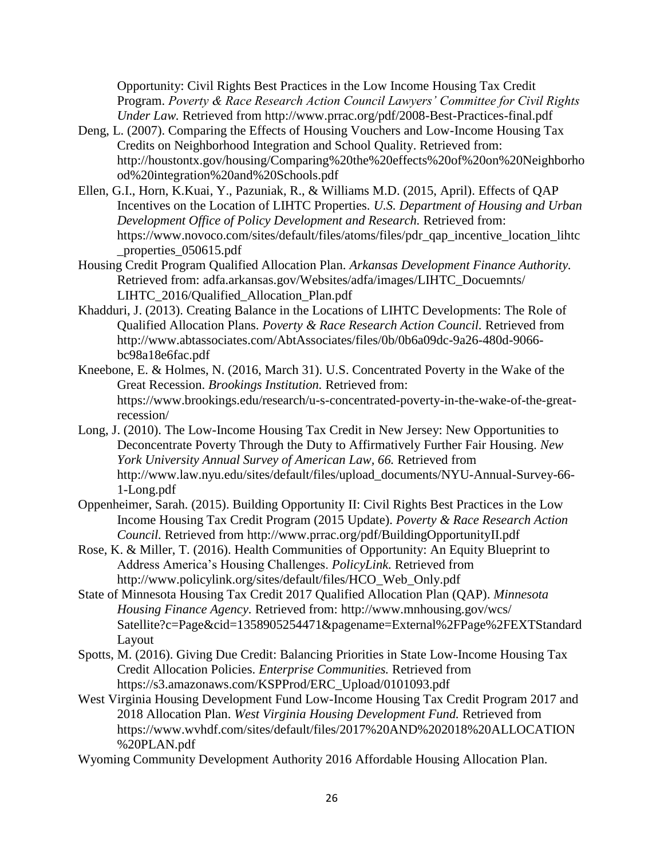Opportunity: Civil Rights Best Practices in the Low Income Housing Tax Credit Program. *Poverty & Race Research Action Council Lawyers' Committee for Civil Rights Under Law.* Retrieved from http://www.prrac.org/pdf/2008-Best-Practices-final.pdf

- Deng, L. (2007). Comparing the Effects of Housing Vouchers and Low-Income Housing Tax Credits on Neighborhood Integration and School Quality. Retrieved from: http://houstontx.gov/housing/Comparing%20the%20effects%20of%20on%20Neighborho od%20integration%20and%20Schools.pdf
- Ellen, G.I., Horn, K.Kuai, Y., Pazuniak, R., & Williams M.D. (2015, April). Effects of QAP Incentives on the Location of LIHTC Properties. *U.S. Department of Housing and Urban Development Office of Policy Development and Research.* Retrieved from: https://www.novoco.com/sites/default/files/atoms/files/pdr\_qap\_incentive\_location\_lihtc \_properties\_050615.pdf
- Housing Credit Program Qualified Allocation Plan. *Arkansas Development Finance Authority.*  Retrieved from: adfa.arkansas.gov/Websites/adfa/images/LIHTC\_Docuemnts/ LIHTC\_2016/Qualified\_Allocation\_Plan.pdf
- Khadduri, J. (2013). Creating Balance in the Locations of LIHTC Developments: The Role of Qualified Allocation Plans. *Poverty & Race Research Action Council.* Retrieved from http://www.abtassociates.com/AbtAssociates/files/0b/0b6a09dc-9a26-480d-9066 bc98a18e6fac.pdf
- Kneebone, E. & Holmes, N. (2016, March 31). U.S. Concentrated Poverty in the Wake of the Great Recession. *Brookings Institution.* Retrieved from: https://www.brookings.edu/research/u-s-concentrated-poverty-in-the-wake-of-the-greatrecession/
- Long, J. (2010). The Low-Income Housing Tax Credit in New Jersey: New Opportunities to Deconcentrate Poverty Through the Duty to Affirmatively Further Fair Housing. *New York University Annual Survey of American Law, 66.* Retrieved from http://www.law.nyu.edu/sites/default/files/upload\_documents/NYU-Annual-Survey-66- 1-Long.pdf
- Oppenheimer, Sarah. (2015). Building Opportunity II: Civil Rights Best Practices in the Low Income Housing Tax Credit Program (2015 Update). *Poverty & Race Research Action Council.* Retrieved from http://www.prrac.org/pdf/BuildingOpportunityII.pdf
- Rose, K. & Miller, T. (2016). Health Communities of Opportunity: An Equity Blueprint to Address America's Housing Challenges. *PolicyLink.* Retrieved from http://www.policylink.org/sites/default/files/HCO\_Web\_Only.pdf
- State of Minnesota Housing Tax Credit 2017 Qualified Allocation Plan (QAP). *Minnesota Housing Finance Agency.* Retrieved from: http://www.mnhousing.gov/wcs/ Satellite?c=Page&cid=1358905254471&pagename=External%2FPage%2FEXTStandard Layout
- Spotts, M. (2016). Giving Due Credit: Balancing Priorities in State Low-Income Housing Tax Credit Allocation Policies. *Enterprise Communities.* Retrieved from https://s3.amazonaws.com/KSPProd/ERC\_Upload/0101093.pdf
- West Virginia Housing Development Fund Low-Income Housing Tax Credit Program 2017 and 2018 Allocation Plan. *West Virginia Housing Development Fund.* Retrieved from https://www.wvhdf.com/sites/default/files/2017%20AND%202018%20ALLOCATION %20PLAN.pdf
- Wyoming Community Development Authority 2016 Affordable Housing Allocation Plan.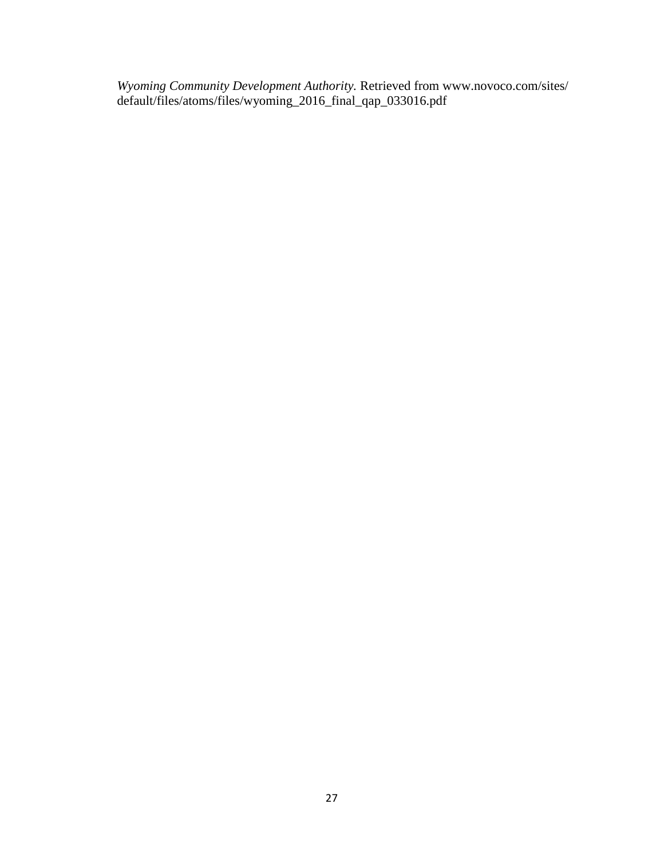*Wyoming Community Development Authority.* Retrieved from www.novoco.com/sites/ default/files/atoms/files/wyoming\_2016\_final\_qap\_033016.pdf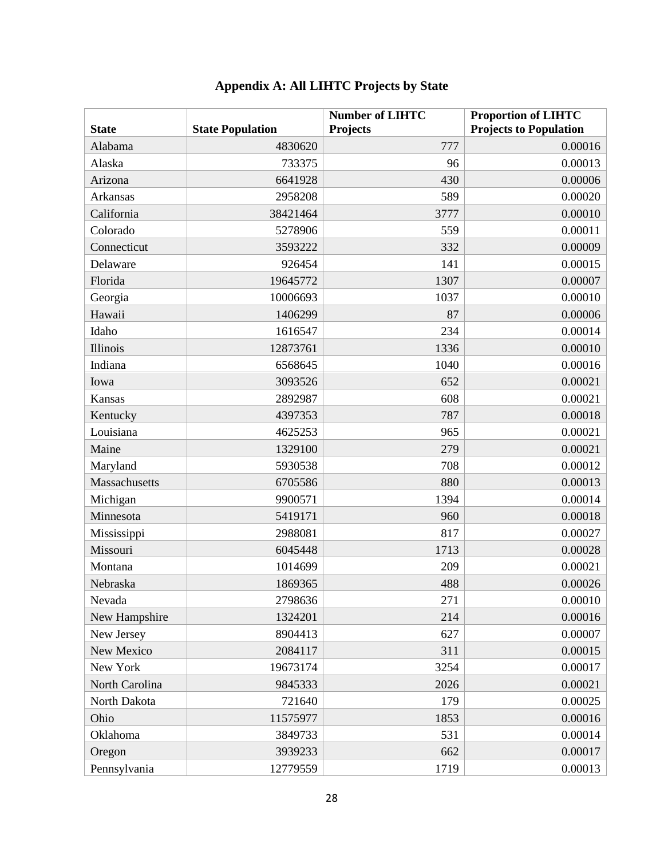| <b>State</b>   | <b>State Population</b> | <b>Number of LIHTC</b><br><b>Projects</b> | <b>Proportion of LIHTC</b><br><b>Projects to Population</b> |
|----------------|-------------------------|-------------------------------------------|-------------------------------------------------------------|
| Alabama        | 4830620                 | 777                                       | 0.00016                                                     |
| Alaska         | 733375                  | 96                                        | 0.00013                                                     |
| Arizona        | 6641928                 | 430                                       | 0.00006                                                     |
| Arkansas       | 2958208                 | 589                                       | 0.00020                                                     |
| California     | 38421464                | 3777                                      | 0.00010                                                     |
| Colorado       | 5278906                 | 559                                       | 0.00011                                                     |
| Connecticut    | 3593222                 | 332                                       | 0.00009                                                     |
| Delaware       | 926454                  | 141                                       | 0.00015                                                     |
| Florida        | 19645772                | 1307                                      | 0.00007                                                     |
| Georgia        | 10006693                | 1037                                      | 0.00010                                                     |
| Hawaii         | 1406299                 | 87                                        | 0.00006                                                     |
| Idaho          | 1616547                 | 234                                       | 0.00014                                                     |
| Illinois       | 12873761                | 1336                                      | 0.00010                                                     |
| Indiana        | 6568645                 | 1040                                      | 0.00016                                                     |
| Iowa           | 3093526                 | 652                                       | 0.00021                                                     |
| Kansas         | 2892987                 | 608                                       | 0.00021                                                     |
| Kentucky       | 4397353                 | 787                                       | 0.00018                                                     |
| Louisiana      | 4625253                 | 965                                       | 0.00021                                                     |
| Maine          | 1329100                 | 279                                       | 0.00021                                                     |
| Maryland       | 5930538                 | 708                                       | 0.00012                                                     |
| Massachusetts  | 6705586                 | 880                                       | 0.00013                                                     |
| Michigan       | 9900571                 | 1394                                      | 0.00014                                                     |
| Minnesota      | 5419171                 | 960                                       | 0.00018                                                     |
| Mississippi    | 2988081                 | 817                                       | 0.00027                                                     |
| Missouri       | 6045448                 | 1713                                      | 0.00028                                                     |
| Montana        | 1014699                 | 209                                       | 0.00021                                                     |
| Nebraska       | 1869365                 | 488                                       | 0.00026                                                     |
| Nevada         | 2798636                 | 271                                       | 0.00010                                                     |
| New Hampshire  | 1324201                 | 214                                       | 0.00016                                                     |
| New Jersey     | 8904413                 | 627                                       | 0.00007                                                     |
| New Mexico     | 2084117                 | 311                                       | 0.00015                                                     |
| New York       | 19673174                | 3254                                      | 0.00017                                                     |
| North Carolina | 9845333                 | 2026                                      | 0.00021                                                     |
| North Dakota   | 721640                  | 179                                       | 0.00025                                                     |
| Ohio           | 11575977                | 1853                                      | 0.00016                                                     |
| Oklahoma       | 3849733                 | 531                                       | 0.00014                                                     |
| Oregon         | 3939233                 | 662                                       | 0.00017                                                     |
| Pennsylvania   | 12779559                | 1719                                      | 0.00013                                                     |

# **Appendix A: All LIHTC Projects by State**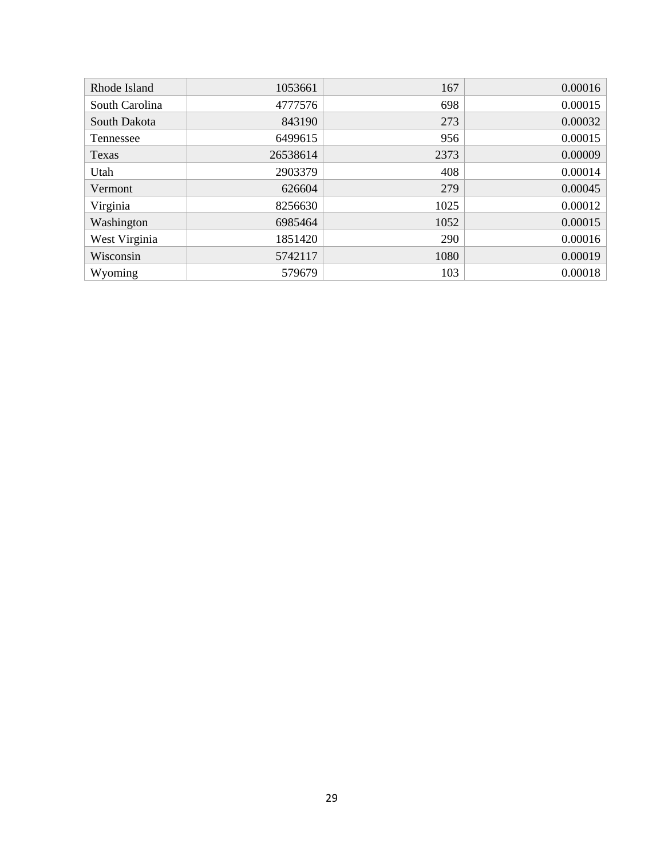| Rhode Island   | 1053661  | 167  | 0.00016 |
|----------------|----------|------|---------|
| South Carolina | 4777576  | 698  | 0.00015 |
| South Dakota   | 843190   | 273  | 0.00032 |
| Tennessee      | 6499615  | 956  | 0.00015 |
| Texas          | 26538614 | 2373 | 0.00009 |
| Utah           | 2903379  | 408  | 0.00014 |
| Vermont        | 626604   | 279  | 0.00045 |
| Virginia       | 8256630  | 1025 | 0.00012 |
| Washington     | 6985464  | 1052 | 0.00015 |
| West Virginia  | 1851420  | 290  | 0.00016 |
| Wisconsin      | 5742117  | 1080 | 0.00019 |
| Wyoming        | 579679   | 103  | 0.00018 |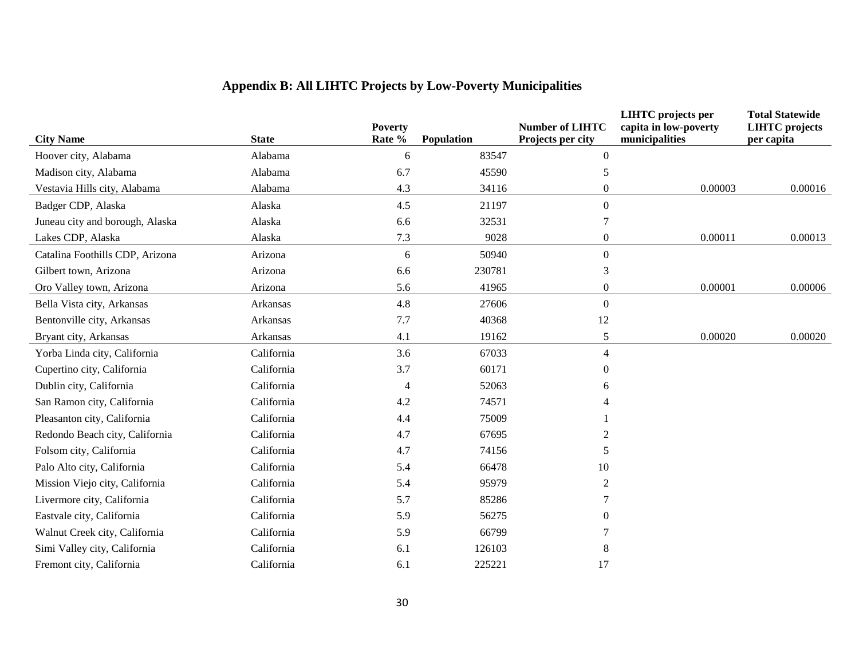# **Appendix B: All LIHTC Projects by Low-Poverty Municipalities**

|                                 |              | <b>Poverty</b> |            | <b>Number of LIHTC</b> | <b>LIHTC</b> projects per<br>capita in low-poverty | <b>Total Statewide</b><br><b>LIHTC</b> projects |
|---------------------------------|--------------|----------------|------------|------------------------|----------------------------------------------------|-------------------------------------------------|
| <b>City Name</b>                | <b>State</b> | Rate %         | Population | Projects per city      | municipalities                                     | per capita                                      |
| Hoover city, Alabama            | Alabama      | 6              | 83547      | $\overline{0}$         |                                                    |                                                 |
| Madison city, Alabama           | Alabama      | 6.7            | 45590      | 5                      |                                                    |                                                 |
| Vestavia Hills city, Alabama    | Alabama      | 4.3            | 34116      | $\overline{0}$         | 0.00003                                            | 0.00016                                         |
| Badger CDP, Alaska              | Alaska       | 4.5            | 21197      | $\Omega$               |                                                    |                                                 |
| Juneau city and borough, Alaska | Alaska       | 6.6            | 32531      |                        |                                                    |                                                 |
| Lakes CDP, Alaska               | Alaska       | 7.3            | 9028       | $\boldsymbol{0}$       | 0.00011                                            | 0.00013                                         |
| Catalina Foothills CDP, Arizona | Arizona      | 6              | 50940      | $\Omega$               |                                                    |                                                 |
| Gilbert town, Arizona           | Arizona      | 6.6            | 230781     | 3                      |                                                    |                                                 |
| Oro Valley town, Arizona        | Arizona      | 5.6            | 41965      | $\boldsymbol{0}$       | 0.00001                                            | 0.00006                                         |
| Bella Vista city, Arkansas      | Arkansas     | 4.8            | 27606      | $\Omega$               |                                                    |                                                 |
| Bentonville city, Arkansas      | Arkansas     | 7.7            | 40368      | 12                     |                                                    |                                                 |
| Bryant city, Arkansas           | Arkansas     | 4.1            | 19162      | 5                      | 0.00020                                            | 0.00020                                         |
| Yorba Linda city, California    | California   | 3.6            | 67033      | $\overline{4}$         |                                                    |                                                 |
| Cupertino city, California      | California   | 3.7            | 60171      | $\Omega$               |                                                    |                                                 |
| Dublin city, California         | California   | $\overline{4}$ | 52063      | 6                      |                                                    |                                                 |
| San Ramon city, California      | California   | 4.2            | 74571      |                        |                                                    |                                                 |
| Pleasanton city, California     | California   | 4.4            | 75009      |                        |                                                    |                                                 |
| Redondo Beach city, California  | California   | 4.7            | 67695      |                        |                                                    |                                                 |
| Folsom city, California         | California   | 4.7            | 74156      | 5                      |                                                    |                                                 |
| Palo Alto city, California      | California   | 5.4            | 66478      | 10                     |                                                    |                                                 |
| Mission Viejo city, California  | California   | 5.4            | 95979      | $\mathfrak{D}$         |                                                    |                                                 |
| Livermore city, California      | California   | 5.7            | 85286      |                        |                                                    |                                                 |
| Eastvale city, California       | California   | 5.9            | 56275      | 0                      |                                                    |                                                 |
| Walnut Creek city, California   | California   | 5.9            | 66799      |                        |                                                    |                                                 |
| Simi Valley city, California    | California   | 6.1            | 126103     | 8                      |                                                    |                                                 |
| Fremont city, California        | California   | 6.1            | 225221     | 17                     |                                                    |                                                 |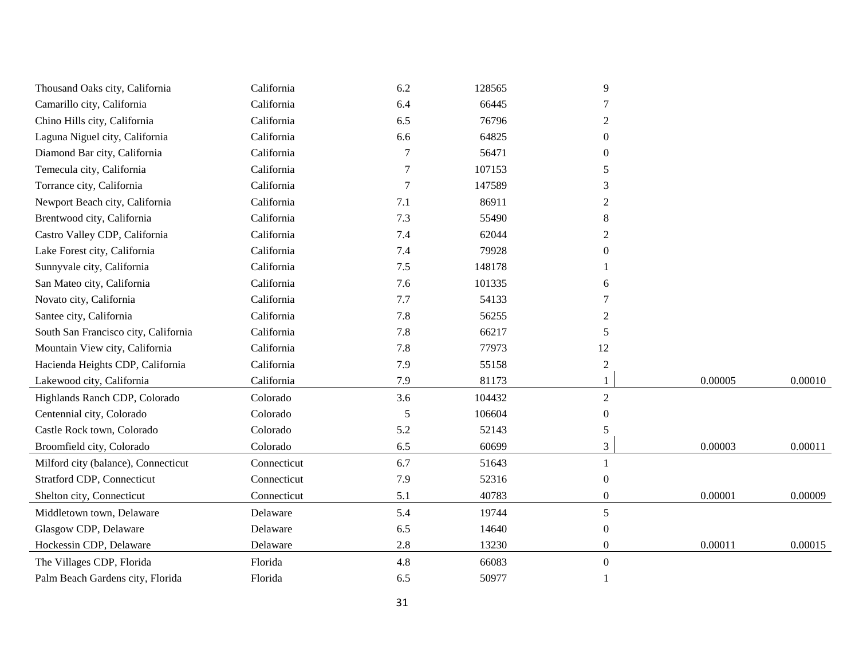| California<br>Camarillo city, California<br>Chino Hills city, California<br>California | 6.4<br>6.5 | 66445  |                  |         |         |
|----------------------------------------------------------------------------------------|------------|--------|------------------|---------|---------|
|                                                                                        |            |        |                  |         |         |
|                                                                                        |            | 76796  | $\boldsymbol{2}$ |         |         |
| Laguna Niguel city, California<br>California                                           | 6.6        | 64825  | $\Omega$         |         |         |
| Diamond Bar city, California<br>California                                             | 7          | 56471  | $\theta$         |         |         |
| California<br>Temecula city, California                                                |            | 107153 | 5                |         |         |
| California<br>Torrance city, California                                                |            | 147589 | 3                |         |         |
| California<br>Newport Beach city, California                                           | 7.1        | 86911  | 2                |         |         |
| California<br>Brentwood city, California                                               | 7.3        | 55490  | 8                |         |         |
| California<br>Castro Valley CDP, California                                            | 7.4        | 62044  | 2                |         |         |
| Lake Forest city, California<br>California                                             | 7.4        | 79928  | 0                |         |         |
| Sunnyvale city, California<br>California                                               | 7.5        | 148178 |                  |         |         |
| California<br>San Mateo city, California                                               | 7.6        | 101335 | 6                |         |         |
| California<br>Novato city, California                                                  | 7.7        | 54133  |                  |         |         |
| California<br>Santee city, California                                                  | 7.8        | 56255  | 2                |         |         |
| California<br>South San Francisco city, California                                     | 7.8        | 66217  | 5                |         |         |
| California<br>Mountain View city, California                                           | 7.8        | 77973  | 12               |         |         |
| California<br>Hacienda Heights CDP, California                                         | 7.9        | 55158  | $\overline{2}$   |         |         |
| Lakewood city, California<br>California                                                | 7.9        | 81173  |                  | 0.00005 | 0.00010 |
| Highlands Ranch CDP, Colorado<br>Colorado                                              | 3.6        | 104432 | $\overline{2}$   |         |         |
| Centennial city, Colorado<br>Colorado                                                  | 5          | 106604 | 0                |         |         |
| Castle Rock town, Colorado<br>Colorado                                                 | 5.2        | 52143  | 5                |         |         |
| Broomfield city, Colorado<br>Colorado                                                  | 6.5        | 60699  | 3                | 0.00003 | 0.00011 |
| Milford city (balance), Connecticut<br>Connecticut                                     | 6.7        | 51643  |                  |         |         |
| Stratford CDP, Connecticut<br>Connecticut                                              | 7.9        | 52316  | $\mathbf{0}$     |         |         |
| Shelton city, Connecticut<br>Connecticut                                               | 5.1        | 40783  | $\boldsymbol{0}$ | 0.00001 | 0.00009 |
| Middletown town, Delaware<br>Delaware                                                  | 5.4        | 19744  | 5                |         |         |
| Glasgow CDP, Delaware<br>Delaware                                                      | 6.5        | 14640  | $\boldsymbol{0}$ |         |         |
| Hockessin CDP, Delaware<br>Delaware                                                    | 2.8        | 13230  | $\theta$         | 0.00011 | 0.00015 |
| The Villages CDP, Florida<br>Florida                                                   | 4.8        | 66083  | $\mathbf{0}$     |         |         |
| Florida<br>Palm Beach Gardens city, Florida                                            | 6.5        | 50977  |                  |         |         |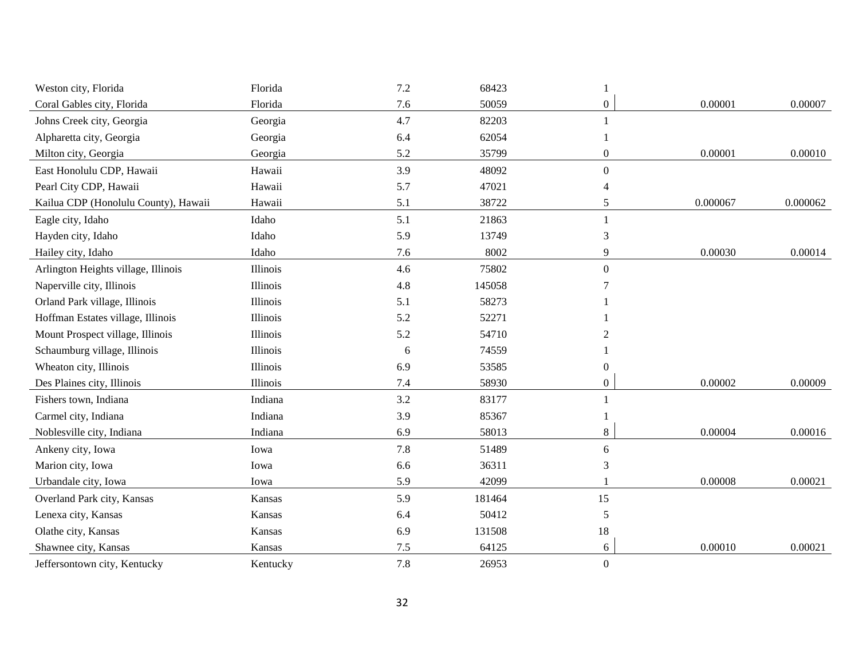| Weston city, Florida                 | Florida  | 7.2     | 68423  |                  |          |          |
|--------------------------------------|----------|---------|--------|------------------|----------|----------|
| Coral Gables city, Florida           | Florida  | 7.6     | 50059  | $\boldsymbol{0}$ | 0.00001  | 0.00007  |
| Johns Creek city, Georgia            | Georgia  | 4.7     | 82203  |                  |          |          |
| Alpharetta city, Georgia             | Georgia  | 6.4     | 62054  |                  |          |          |
| Milton city, Georgia                 | Georgia  | 5.2     | 35799  | 0                | 0.00001  | 0.00010  |
| East Honolulu CDP, Hawaii            | Hawaii   | 3.9     | 48092  | $\boldsymbol{0}$ |          |          |
| Pearl City CDP, Hawaii               | Hawaii   | 5.7     | 47021  | 4                |          |          |
| Kailua CDP (Honolulu County), Hawaii | Hawaii   | 5.1     | 38722  | 5                | 0.000067 | 0.000062 |
| Eagle city, Idaho                    | Idaho    | 5.1     | 21863  | 1                |          |          |
| Hayden city, Idaho                   | Idaho    | 5.9     | 13749  | 3                |          |          |
| Hailey city, Idaho                   | Idaho    | 7.6     | 8002   | 9                | 0.00030  | 0.00014  |
| Arlington Heights village, Illinois  | Illinois | 4.6     | 75802  | $\boldsymbol{0}$ |          |          |
| Naperville city, Illinois            | Illinois | 4.8     | 145058 | 7                |          |          |
| Orland Park village, Illinois        | Illinois | 5.1     | 58273  |                  |          |          |
| Hoffman Estates village, Illinois    | Illinois | 5.2     | 52271  |                  |          |          |
| Mount Prospect village, Illinois     | Illinois | 5.2     | 54710  | $\mathfrak{D}$   |          |          |
| Schaumburg village, Illinois         | Illinois | 6       | 74559  |                  |          |          |
| Wheaton city, Illinois               | Illinois | 6.9     | 53585  | $\overline{0}$   |          |          |
| Des Plaines city, Illinois           | Illinois | $7.4\,$ | 58930  | $\boldsymbol{0}$ | 0.00002  | 0.00009  |
| Fishers town, Indiana                | Indiana  | 3.2     | 83177  |                  |          |          |
| Carmel city, Indiana                 | Indiana  | 3.9     | 85367  |                  |          |          |
| Noblesville city, Indiana            | Indiana  | 6.9     | 58013  | 8                | 0.00004  | 0.00016  |
| Ankeny city, Iowa                    | Iowa     | 7.8     | 51489  | 6                |          |          |
| Marion city, Iowa                    | Iowa     | 6.6     | 36311  | 3                |          |          |
| Urbandale city, Iowa                 | Iowa     | 5.9     | 42099  |                  | 0.00008  | 0.00021  |
| Overland Park city, Kansas           | Kansas   | 5.9     | 181464 | 15               |          |          |
| Lenexa city, Kansas                  | Kansas   | 6.4     | 50412  | 5                |          |          |
| Olathe city, Kansas                  | Kansas   | 6.9     | 131508 | 18               |          |          |
| Shawnee city, Kansas                 | Kansas   | 7.5     | 64125  | 6                | 0.00010  | 0.00021  |
| Jeffersontown city, Kentucky         | Kentucky | 7.8     | 26953  | $\overline{0}$   |          |          |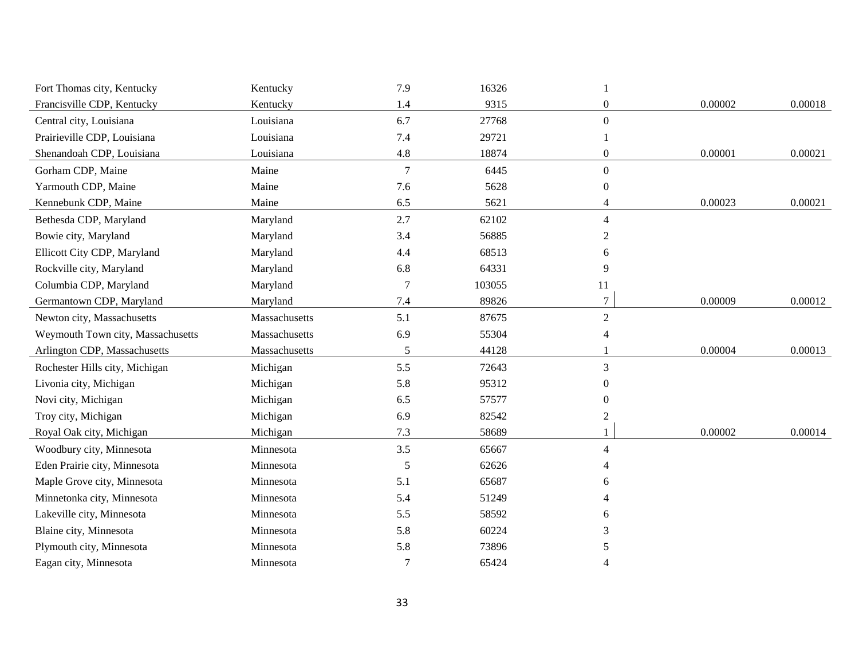| Fort Thomas city, Kentucky        | Kentucky      | 7.9            | 16326  |                |         |         |
|-----------------------------------|---------------|----------------|--------|----------------|---------|---------|
| Francisville CDP, Kentucky        | Kentucky      | 1.4            | 9315   | $\overline{0}$ | 0.00002 | 0.00018 |
| Central city, Louisiana           | Louisiana     | 6.7            | 27768  | $\Omega$       |         |         |
| Prairieville CDP, Louisiana       | Louisiana     | 7.4            | 29721  |                |         |         |
| Shenandoah CDP, Louisiana         | Louisiana     | 4.8            | 18874  | $\overline{0}$ | 0.00001 | 0.00021 |
| Gorham CDP, Maine                 | Maine         | $\overline{7}$ | 6445   | $\overline{0}$ |         |         |
| Yarmouth CDP, Maine               | Maine         | 7.6            | 5628   | $\theta$       |         |         |
| Kennebunk CDP, Maine              | Maine         | 6.5            | 5621   | 4              | 0.00023 | 0.00021 |
| Bethesda CDP, Maryland            | Maryland      | 2.7            | 62102  | 4              |         |         |
| Bowie city, Maryland              | Maryland      | 3.4            | 56885  | 2              |         |         |
| Ellicott City CDP, Maryland       | Maryland      | 4.4            | 68513  | 6              |         |         |
| Rockville city, Maryland          | Maryland      | 6.8            | 64331  | 9              |         |         |
| Columbia CDP, Maryland            | Maryland      | 7              | 103055 | 11             |         |         |
| Germantown CDP, Maryland          | Maryland      | 7.4            | 89826  | $\tau$         | 0.00009 | 0.00012 |
| Newton city, Massachusetts        | Massachusetts | 5.1            | 87675  | $\overline{2}$ |         |         |
| Weymouth Town city, Massachusetts | Massachusetts | 6.9            | 55304  | 4              |         |         |
| Arlington CDP, Massachusetts      | Massachusetts | 5              | 44128  |                | 0.00004 | 0.00013 |
| Rochester Hills city, Michigan    | Michigan      | 5.5            | 72643  | 3              |         |         |
| Livonia city, Michigan            | Michigan      | 5.8            | 95312  | 0              |         |         |
| Novi city, Michigan               | Michigan      | 6.5            | 57577  | 0              |         |         |
| Troy city, Michigan               | Michigan      | 6.9            | 82542  |                |         |         |
| Royal Oak city, Michigan          | Michigan      | 7.3            | 58689  |                | 0.00002 | 0.00014 |
| Woodbury city, Minnesota          | Minnesota     | 3.5            | 65667  | 4              |         |         |
| Eden Prairie city, Minnesota      | Minnesota     | 5              | 62626  |                |         |         |
| Maple Grove city, Minnesota       | Minnesota     | 5.1            | 65687  | 6              |         |         |
| Minnetonka city, Minnesota        | Minnesota     | 5.4            | 51249  |                |         |         |
| Lakeville city, Minnesota         | Minnesota     | 5.5            | 58592  | 6              |         |         |
| Blaine city, Minnesota            | Minnesota     | 5.8            | 60224  | 3              |         |         |
| Plymouth city, Minnesota          | Minnesota     | 5.8            | 73896  | 5              |         |         |
| Eagan city, Minnesota             | Minnesota     | $\overline{7}$ | 65424  |                |         |         |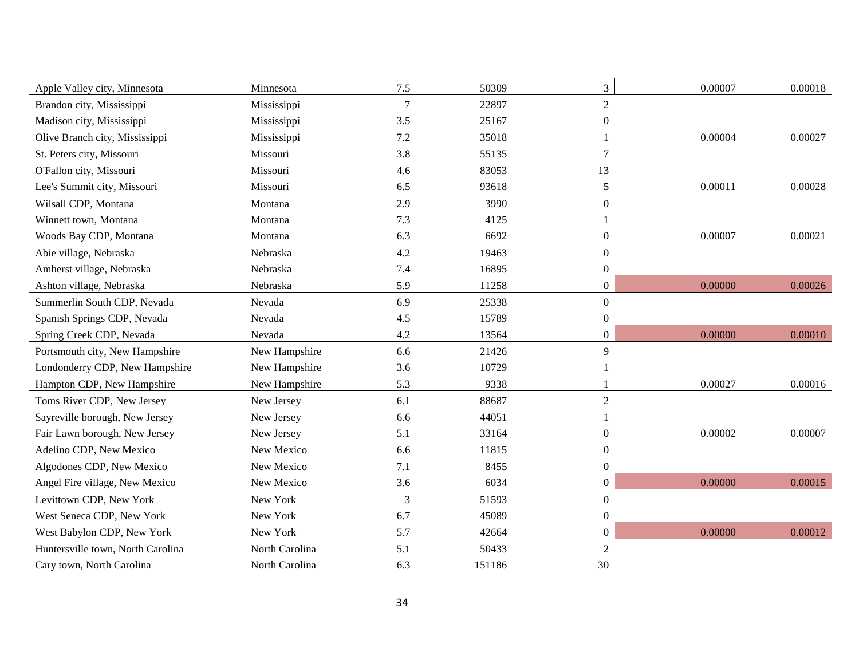| Apple Valley city, Minnesota      | Minnesota      | 7.5            | 50309  | 3                | 0.00007 | 0.00018 |
|-----------------------------------|----------------|----------------|--------|------------------|---------|---------|
| Brandon city, Mississippi         | Mississippi    | $\overline{7}$ | 22897  | $\overline{2}$   |         |         |
| Madison city, Mississippi         | Mississippi    | 3.5            | 25167  | $\Omega$         |         |         |
| Olive Branch city, Mississippi    | Mississippi    | 7.2            | 35018  |                  | 0.00004 | 0.00027 |
| St. Peters city, Missouri         | Missouri       | 3.8            | 55135  | $\overline{7}$   |         |         |
| O'Fallon city, Missouri           | Missouri       | 4.6            | 83053  | 13               |         |         |
| Lee's Summit city, Missouri       | Missouri       | 6.5            | 93618  | 5                | 0.00011 | 0.00028 |
| Wilsall CDP, Montana              | Montana        | 2.9            | 3990   | $\overline{0}$   |         |         |
| Winnett town, Montana             | Montana        | 7.3            | 4125   |                  |         |         |
| Woods Bay CDP, Montana            | Montana        | 6.3            | 6692   | $\theta$         | 0.00007 | 0.00021 |
| Abie village, Nebraska            | Nebraska       | 4.2            | 19463  | $\Omega$         |         |         |
| Amherst village, Nebraska         | Nebraska       | 7.4            | 16895  | $\boldsymbol{0}$ |         |         |
| Ashton village, Nebraska          | Nebraska       | 5.9            | 11258  | $\boldsymbol{0}$ | 0.00000 | 0.00026 |
| Summerlin South CDP, Nevada       | Nevada         | 6.9            | 25338  | $\overline{0}$   |         |         |
| Spanish Springs CDP, Nevada       | Nevada         | 4.5            | 15789  | $\theta$         |         |         |
| Spring Creek CDP, Nevada          | Nevada         | 4.2            | 13564  | $\Omega$         | 0.00000 | 0.00010 |
| Portsmouth city, New Hampshire    | New Hampshire  | 6.6            | 21426  | 9                |         |         |
| Londonderry CDP, New Hampshire    | New Hampshire  | 3.6            | 10729  |                  |         |         |
| Hampton CDP, New Hampshire        | New Hampshire  | 5.3            | 9338   |                  | 0.00027 | 0.00016 |
| Toms River CDP, New Jersey        | New Jersey     | 6.1            | 88687  | $\overline{2}$   |         |         |
| Sayreville borough, New Jersey    | New Jersey     | 6.6            | 44051  |                  |         |         |
| Fair Lawn borough, New Jersey     | New Jersey     | 5.1            | 33164  | $\boldsymbol{0}$ | 0.00002 | 0.00007 |
| Adelino CDP, New Mexico           | New Mexico     | 6.6            | 11815  | $\Omega$         |         |         |
| Algodones CDP, New Mexico         | New Mexico     | 7.1            | 8455   | $\theta$         |         |         |
| Angel Fire village, New Mexico    | New Mexico     | 3.6            | 6034   | $\theta$         | 0.00000 | 0.00015 |
| Levittown CDP, New York           | New York       | 3              | 51593  | $\overline{0}$   |         |         |
| West Seneca CDP, New York         | New York       | 6.7            | 45089  | $\theta$         |         |         |
| West Babylon CDP, New York        | New York       | 5.7            | 42664  | $\theta$         | 0.00000 | 0.00012 |
| Huntersville town, North Carolina | North Carolina | 5.1            | 50433  | $\overline{2}$   |         |         |
| Cary town, North Carolina         | North Carolina | 6.3            | 151186 | 30               |         |         |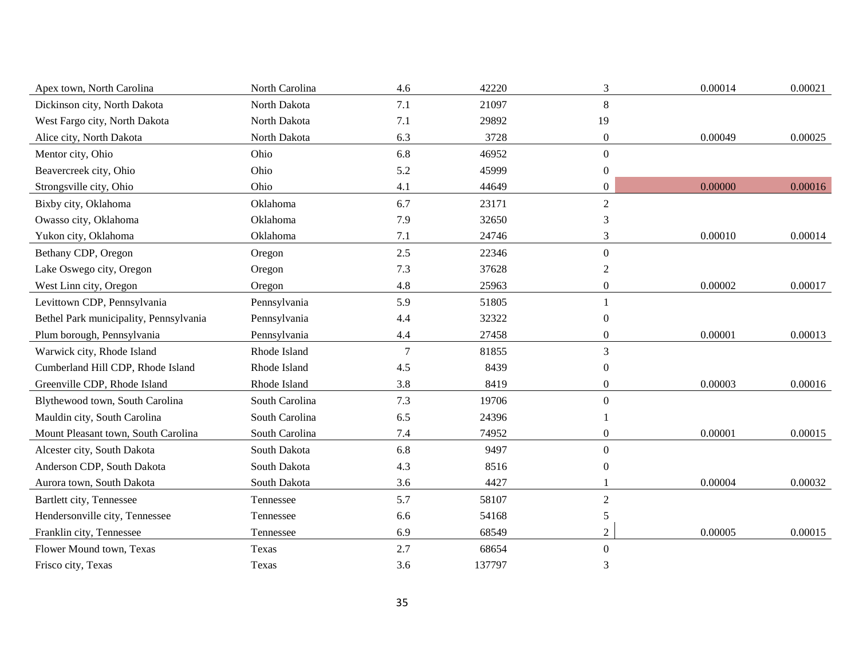| Apex town, North Carolina              | North Carolina | 4.6             | 42220  | 3                | 0.00014 | 0.00021 |
|----------------------------------------|----------------|-----------------|--------|------------------|---------|---------|
| Dickinson city, North Dakota           | North Dakota   | 7.1             | 21097  | 8                |         |         |
| West Fargo city, North Dakota          | North Dakota   | 7.1             | 29892  | 19               |         |         |
| Alice city, North Dakota               | North Dakota   | 6.3             | 3728   | $\boldsymbol{0}$ | 0.00049 | 0.00025 |
| Mentor city, Ohio                      | Ohio           | 6.8             | 46952  | $\mathbf{0}$     |         |         |
| Beavercreek city, Ohio                 | Ohio           | 5.2             | 45999  | $\boldsymbol{0}$ |         |         |
| Strongsville city, Ohio                | Ohio           | 4.1             | 44649  | $\boldsymbol{0}$ | 0.00000 | 0.00016 |
| Bixby city, Oklahoma                   | Oklahoma       | 6.7             | 23171  | $\overline{2}$   |         |         |
| Owasso city, Oklahoma                  | Oklahoma       | 7.9             | 32650  | 3                |         |         |
| Yukon city, Oklahoma                   | Oklahoma       | 7.1             | 24746  | 3                | 0.00010 | 0.00014 |
| Bethany CDP, Oregon                    | Oregon         | 2.5             | 22346  | $\mathbf{0}$     |         |         |
| Lake Oswego city, Oregon               | Oregon         | 7.3             | 37628  | $\overline{2}$   |         |         |
| West Linn city, Oregon                 | Oregon         | 4.8             | 25963  | $\boldsymbol{0}$ | 0.00002 | 0.00017 |
| Levittown CDP, Pennsylvania            | Pennsylvania   | 5.9             | 51805  | $\mathbf{1}$     |         |         |
| Bethel Park municipality, Pennsylvania | Pennsylvania   | 4.4             | 32322  | $\Omega$         |         |         |
| Plum borough, Pennsylvania             | Pennsylvania   | 4.4             | 27458  | $\boldsymbol{0}$ | 0.00001 | 0.00013 |
| Warwick city, Rhode Island             | Rhode Island   | $7\phantom{.0}$ | 81855  | 3                |         |         |
| Cumberland Hill CDP, Rhode Island      | Rhode Island   | 4.5             | 8439   | $\boldsymbol{0}$ |         |         |
| Greenville CDP, Rhode Island           | Rhode Island   | 3.8             | 8419   | $\overline{0}$   | 0.00003 | 0.00016 |
| Blythewood town, South Carolina        | South Carolina | 7.3             | 19706  | $\mathbf{0}$     |         |         |
| Mauldin city, South Carolina           | South Carolina | 6.5             | 24396  |                  |         |         |
| Mount Pleasant town, South Carolina    | South Carolina | 7.4             | 74952  | $\overline{0}$   | 0.00001 | 0.00015 |
| Alcester city, South Dakota            | South Dakota   | 6.8             | 9497   | $\mathbf{0}$     |         |         |
| Anderson CDP, South Dakota             | South Dakota   | 4.3             | 8516   | $\overline{0}$   |         |         |
| Aurora town, South Dakota              | South Dakota   | 3.6             | 4427   |                  | 0.00004 | 0.00032 |
| Bartlett city, Tennessee               | Tennessee      | 5.7             | 58107  | $\overline{2}$   |         |         |
| Hendersonville city, Tennessee         | Tennessee      | 6.6             | 54168  | 5                |         |         |
| Franklin city, Tennessee               | Tennessee      | 6.9             | 68549  | $\overline{2}$   | 0.00005 | 0.00015 |
| Flower Mound town, Texas               | Texas          | 2.7             | 68654  | $\boldsymbol{0}$ |         |         |
| Frisco city, Texas                     | Texas          | 3.6             | 137797 | 3                |         |         |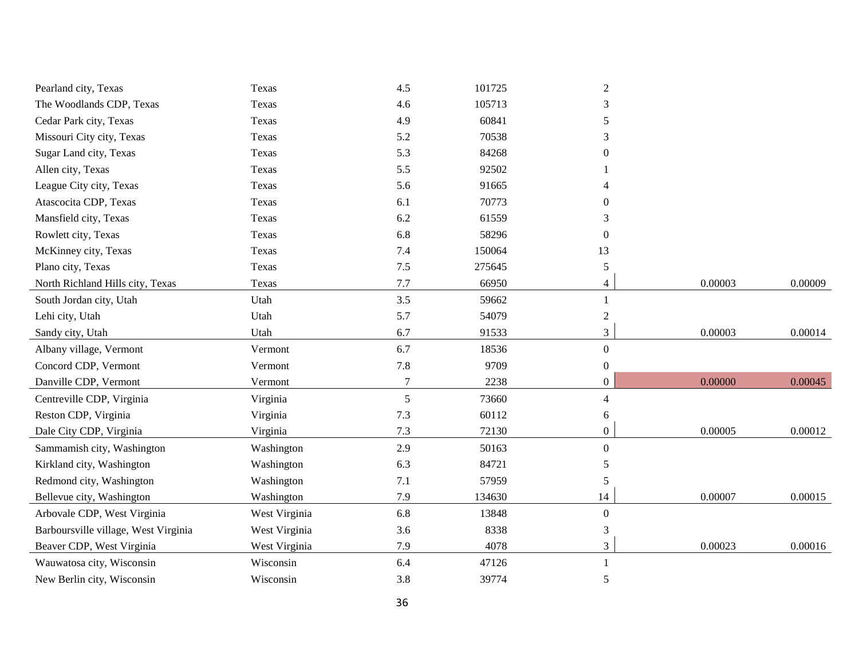| Pearland city, Texas                 | Texas         | 4.5    | 101725 | $\overline{2}$   |         |         |
|--------------------------------------|---------------|--------|--------|------------------|---------|---------|
| The Woodlands CDP, Texas             | Texas         | 4.6    | 105713 | 3                |         |         |
| Cedar Park city, Texas               | Texas         | 4.9    | 60841  | 5                |         |         |
| Missouri City city, Texas            | Texas         | 5.2    | 70538  | 3                |         |         |
| Sugar Land city, Texas               | Texas         | 5.3    | 84268  | $\Omega$         |         |         |
| Allen city, Texas                    | Texas         | 5.5    | 92502  |                  |         |         |
| League City city, Texas              | Texas         | 5.6    | 91665  | Δ                |         |         |
| Atascocita CDP, Texas                | Texas         | 6.1    | 70773  | 0                |         |         |
| Mansfield city, Texas                | Texas         | 6.2    | 61559  | 3                |         |         |
| Rowlett city, Texas                  | Texas         | 6.8    | 58296  | $\theta$         |         |         |
| McKinney city, Texas                 | Texas         | 7.4    | 150064 | 13               |         |         |
| Plano city, Texas                    | Texas         | $7.5$  | 275645 | 5                |         |         |
| North Richland Hills city, Texas     | Texas         | 7.7    | 66950  | 4                | 0.00003 | 0.00009 |
| South Jordan city, Utah              | Utah          | 3.5    | 59662  | $\mathbf{1}$     |         |         |
| Lehi city, Utah                      | Utah          | 5.7    | 54079  | $\overline{2}$   |         |         |
| Sandy city, Utah                     | Utah          | 6.7    | 91533  | 3                | 0.00003 | 0.00014 |
| Albany village, Vermont              | Vermont       | 6.7    | 18536  | $\overline{0}$   |         |         |
| Concord CDP, Vermont                 | Vermont       | 7.8    | 9709   | $\overline{0}$   |         |         |
| Danville CDP, Vermont                | Vermont       | $\tau$ | 2238   | $\boldsymbol{0}$ | 0.00000 | 0.00045 |
| Centreville CDP, Virginia            | Virginia      | 5      | 73660  | 4                |         |         |
| Reston CDP, Virginia                 | Virginia      | 7.3    | 60112  | 6                |         |         |
| Dale City CDP, Virginia              | Virginia      | 7.3    | 72130  | $\boldsymbol{0}$ | 0.00005 | 0.00012 |
| Sammamish city, Washington           | Washington    | 2.9    | 50163  | $\overline{0}$   |         |         |
| Kirkland city, Washington            | Washington    | 6.3    | 84721  | 5                |         |         |
| Redmond city, Washington             | Washington    | 7.1    | 57959  | 5                |         |         |
| Bellevue city, Washington            | Washington    | 7.9    | 134630 | 14               | 0.00007 | 0.00015 |
| Arbovale CDP, West Virginia          | West Virginia | 6.8    | 13848  | $\boldsymbol{0}$ |         |         |
| Barboursville village, West Virginia | West Virginia | 3.6    | 8338   | 3                |         |         |
| Beaver CDP, West Virginia            | West Virginia | 7.9    | 4078   | 3                | 0.00023 | 0.00016 |
| Wauwatosa city, Wisconsin            | Wisconsin     | 6.4    | 47126  | $\mathbf{1}$     |         |         |
| New Berlin city, Wisconsin           | Wisconsin     | 3.8    | 39774  | 5                |         |         |
|                                      |               |        |        |                  |         |         |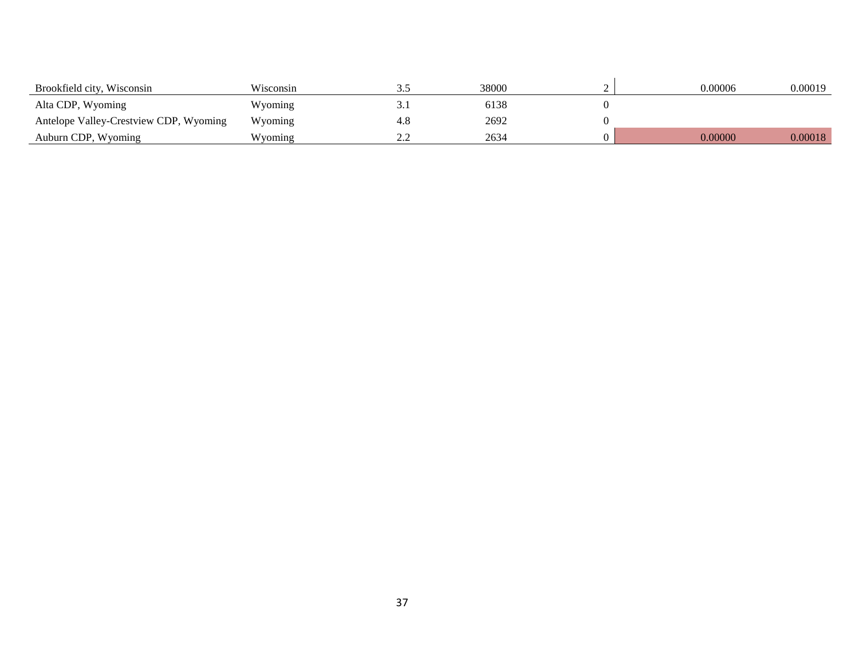| Brookfield city, Wisconsin             | Wisconsin |          | 38000 | 0.00006 | 0.00019 |
|----------------------------------------|-----------|----------|-------|---------|---------|
| Alta CDP, Wyoming                      | Wyoming   | <u>.</u> | 6138  |         |         |
| Antelope Valley-Crestview CDP, Wyoming | Wyoming   | 4.8      | 2692  |         |         |
| Auburn CDP, Wyoming                    | Wyoming   | <u>.</u> | 2634  | 0.00000 | 0.00018 |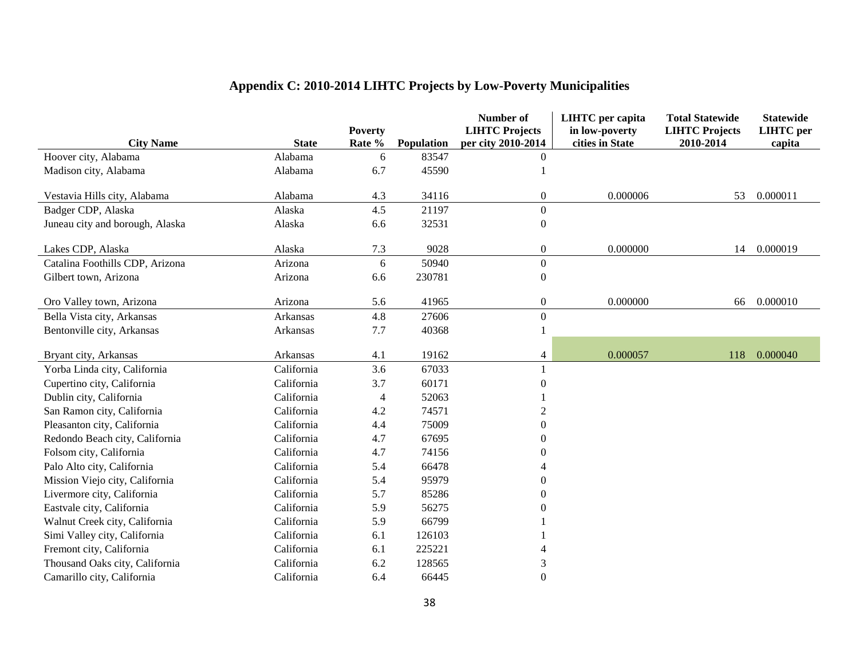|                                 |                         |                |                     | Number of                      | <b>LIHTC</b> per capita | <b>Total Statewide</b> | <b>Statewide</b> |
|---------------------------------|-------------------------|----------------|---------------------|--------------------------------|-------------------------|------------------------|------------------|
|                                 |                         | <b>Poverty</b> |                     | <b>LIHTC Projects</b>          | in low-poverty          | <b>LIHTC Projects</b>  | <b>LIHTC</b> per |
| <b>City Name</b>                | <b>State</b><br>Alabama | Rate %         | Population<br>83547 | per city 2010-2014<br>$\theta$ | cities in State         | 2010-2014              | capita           |
| Hoover city, Alabama            |                         | 6              |                     |                                |                         |                        |                  |
| Madison city, Alabama           | Alabama                 | 6.7            | 45590               |                                |                         |                        |                  |
| Vestavia Hills city, Alabama    | Alabama                 | 4.3            | 34116               | $\boldsymbol{0}$               | 0.000006                | 53                     | 0.000011         |
| Badger CDP, Alaska              | Alaska                  | 4.5            | 21197               | $\boldsymbol{0}$               |                         |                        |                  |
| Juneau city and borough, Alaska | Alaska                  | 6.6            | 32531               | $\boldsymbol{0}$               |                         |                        |                  |
| Lakes CDP, Alaska               | Alaska                  | 7.3            | 9028                | $\boldsymbol{0}$               | 0.000000                | 14                     | 0.000019         |
| Catalina Foothills CDP, Arizona | Arizona                 | 6              | 50940               | $\boldsymbol{0}$               |                         |                        |                  |
| Gilbert town, Arizona           | Arizona                 | 6.6            | 230781              | $\boldsymbol{0}$               |                         |                        |                  |
|                                 |                         |                |                     |                                |                         |                        |                  |
| Oro Valley town, Arizona        | Arizona                 | 5.6            | 41965               | $\boldsymbol{0}$               | 0.000000                | 66                     | 0.000010         |
| Bella Vista city, Arkansas      | Arkansas                | 4.8            | 27606               | $\boldsymbol{0}$               |                         |                        |                  |
| Bentonville city, Arkansas      | Arkansas                | 7.7            | 40368               | $\mathbf{1}$                   |                         |                        |                  |
|                                 |                         |                |                     |                                |                         |                        |                  |
| Bryant city, Arkansas           | Arkansas                | 4.1            | 19162               | $\overline{4}$                 | 0.000057                | 118                    | 0.000040         |
| Yorba Linda city, California    | California              | 3.6            | 67033               |                                |                         |                        |                  |
| Cupertino city, California      | California              | 3.7            | 60171               | $\theta$                       |                         |                        |                  |
| Dublin city, California         | California              | $\overline{4}$ | 52063               |                                |                         |                        |                  |
| San Ramon city, California      | California              | 4.2            | 74571               | $\mathcal{D}$                  |                         |                        |                  |
| Pleasanton city, California     | California              | 4.4            | 75009               | $\boldsymbol{0}$               |                         |                        |                  |
| Redondo Beach city, California  | California              | 4.7            | 67695               | $\overline{0}$                 |                         |                        |                  |
| Folsom city, California         | California              | 4.7            | 74156               | $\Omega$                       |                         |                        |                  |
| Palo Alto city, California      | California              | 5.4            | 66478               | $\overline{A}$                 |                         |                        |                  |
| Mission Viejo city, California  | California              | 5.4            | 95979               | $\boldsymbol{0}$               |                         |                        |                  |
| Livermore city, California      | California              | 5.7            | 85286               | $\boldsymbol{0}$               |                         |                        |                  |
| Eastvale city, California       | California              | 5.9            | 56275               | $\Omega$                       |                         |                        |                  |
| Walnut Creek city, California   | California              | 5.9            | 66799               |                                |                         |                        |                  |
| Simi Valley city, California    | California              | 6.1            | 126103              |                                |                         |                        |                  |
| Fremont city, California        | California              | 6.1            | 225221              |                                |                         |                        |                  |
| Thousand Oaks city, California  | California              | 6.2            | 128565              | 3                              |                         |                        |                  |
| Camarillo city, California      | California              | 6.4            | 66445               | $\overline{0}$                 |                         |                        |                  |

# **Appendix C: 2010-2014 LIHTC Projects by Low-Poverty Municipalities**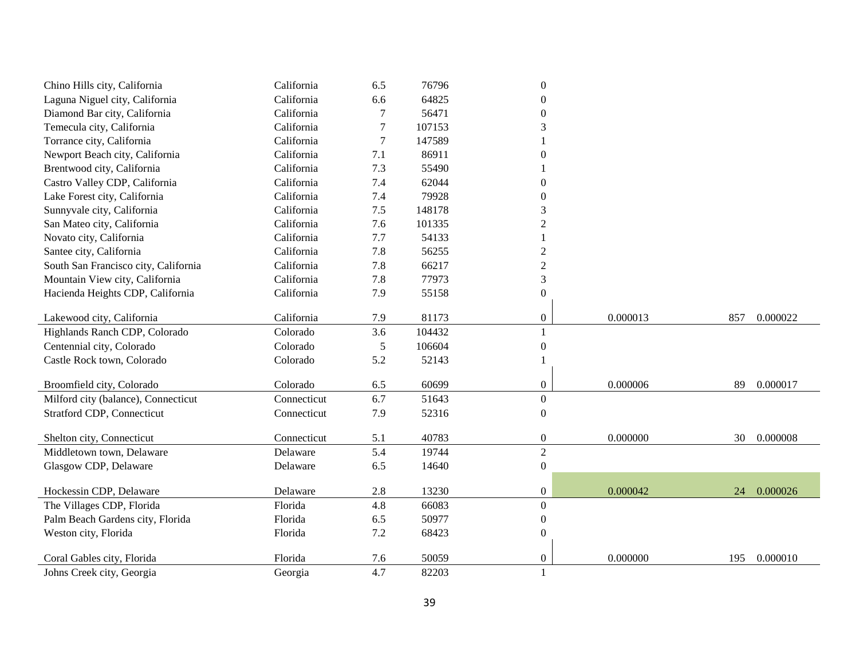| Chino Hills city, California         | California  | 6.5            | 76796  | $\boldsymbol{0}$ |          |     |          |
|--------------------------------------|-------------|----------------|--------|------------------|----------|-----|----------|
| Laguna Niguel city, California       | California  | 6.6            | 64825  | $\overline{0}$   |          |     |          |
| Diamond Bar city, California         | California  | 7              | 56471  | $\overline{0}$   |          |     |          |
| Temecula city, California            | California  | 7              | 107153 | 3                |          |     |          |
| Torrance city, California            | California  | $\overline{7}$ | 147589 |                  |          |     |          |
| Newport Beach city, California       | California  | 7.1            | 86911  | $\theta$         |          |     |          |
| Brentwood city, California           | California  | 7.3            | 55490  |                  |          |     |          |
| Castro Valley CDP, California        | California  | 7.4            | 62044  | $\theta$         |          |     |          |
| Lake Forest city, California         | California  | 7.4            | 79928  | $\boldsymbol{0}$ |          |     |          |
| Sunnyvale city, California           | California  | $7.5$          | 148178 | 3                |          |     |          |
| San Mateo city, California           | California  | 7.6            | 101335 | $\overline{c}$   |          |     |          |
| Novato city, California              | California  | 7.7            | 54133  | $\mathbf{1}$     |          |     |          |
| Santee city, California              | California  | 7.8            | 56255  | $\overline{c}$   |          |     |          |
| South San Francisco city, California | California  | 7.8            | 66217  | $\overline{c}$   |          |     |          |
| Mountain View city, California       | California  | 7.8            | 77973  | $\mathfrak{Z}$   |          |     |          |
| Hacienda Heights CDP, California     | California  | 7.9            | 55158  | $\boldsymbol{0}$ |          |     |          |
|                                      |             |                |        |                  |          |     |          |
| Lakewood city, California            | California  | 7.9            | 81173  | $\boldsymbol{0}$ | 0.000013 | 857 | 0.000022 |
| Highlands Ranch CDP, Colorado        | Colorado    | 3.6            | 104432 | $\mathbf{1}$     |          |     |          |
| Centennial city, Colorado            | Colorado    | 5              | 106604 | $\boldsymbol{0}$ |          |     |          |
| Castle Rock town, Colorado           | Colorado    | 5.2            | 52143  | $\mathbf{1}$     |          |     |          |
| Broomfield city, Colorado            | Colorado    | 6.5            | 60699  | $\overline{0}$   | 0.000006 | 89  | 0.000017 |
| Milford city (balance), Connecticut  | Connecticut | 6.7            | 51643  | $\overline{0}$   |          |     |          |
| <b>Stratford CDP, Connecticut</b>    | Connecticut | 7.9            | 52316  | $\boldsymbol{0}$ |          |     |          |
|                                      |             |                |        |                  |          |     |          |
| Shelton city, Connecticut            | Connecticut | 5.1            | 40783  | $\overline{0}$   | 0.000000 | 30  | 0.000008 |
| Middletown town, Delaware            | Delaware    | 5.4            | 19744  | $\overline{2}$   |          |     |          |
| Glasgow CDP, Delaware                | Delaware    | 6.5            | 14640  | $\boldsymbol{0}$ |          |     |          |
|                                      |             |                |        |                  |          |     |          |
| Hockessin CDP, Delaware              | Delaware    | 2.8            | 13230  | $\overline{0}$   | 0.000042 | 24  | 0.000026 |
| The Villages CDP, Florida            | Florida     | 4.8            | 66083  | $\boldsymbol{0}$ |          |     |          |
| Palm Beach Gardens city, Florida     | Florida     | 6.5            | 50977  | $\boldsymbol{0}$ |          |     |          |
| Weston city, Florida                 | Florida     | 7.2            | 68423  | $\boldsymbol{0}$ |          |     |          |
| Coral Gables city, Florida           | Florida     | 7.6            | 50059  | $\boldsymbol{0}$ | 0.000000 | 195 | 0.000010 |
| Johns Creek city, Georgia            | Georgia     | 4.7            | 82203  | 1                |          |     |          |
|                                      |             |                |        |                  |          |     |          |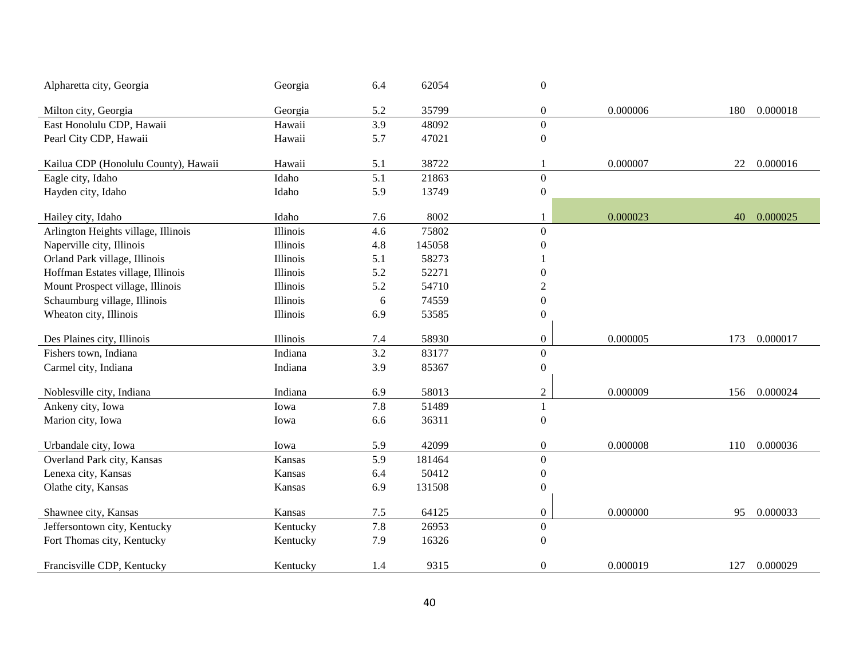| Alpharetta city, Georgia             | Georgia  | 6.4 | 62054  | $\boldsymbol{0}$ |          |     |          |
|--------------------------------------|----------|-----|--------|------------------|----------|-----|----------|
| Milton city, Georgia                 | Georgia  | 5.2 | 35799  | $\boldsymbol{0}$ | 0.000006 | 180 | 0.000018 |
| East Honolulu CDP, Hawaii            | Hawaii   | 3.9 | 48092  | $\boldsymbol{0}$ |          |     |          |
| Pearl City CDP, Hawaii               | Hawaii   | 5.7 | 47021  | $\boldsymbol{0}$ |          |     |          |
|                                      |          |     |        |                  |          |     |          |
| Kailua CDP (Honolulu County), Hawaii | Hawaii   | 5.1 | 38722  | 1                | 0.000007 | 22  | 0.000016 |
| Eagle city, Idaho                    | Idaho    | 5.1 | 21863  | $\boldsymbol{0}$ |          |     |          |
| Hayden city, Idaho                   | Idaho    | 5.9 | 13749  | $\boldsymbol{0}$ |          |     |          |
| Hailey city, Idaho                   | Idaho    | 7.6 | 8002   | 1                | 0.000023 | 40  | 0.000025 |
| Arlington Heights village, Illinois  | Illinois | 4.6 | 75802  | $\boldsymbol{0}$ |          |     |          |
| Naperville city, Illinois            | Illinois | 4.8 | 145058 | $\boldsymbol{0}$ |          |     |          |
| Orland Park village, Illinois        | Illinois | 5.1 | 58273  |                  |          |     |          |
| Hoffman Estates village, Illinois    | Illinois | 5.2 | 52271  | $\overline{0}$   |          |     |          |
| Mount Prospect village, Illinois     | Illinois | 5.2 | 54710  | $\overline{2}$   |          |     |          |
| Schaumburg village, Illinois         | Illinois | 6   | 74559  | $\boldsymbol{0}$ |          |     |          |
| Wheaton city, Illinois               | Illinois | 6.9 | 53585  | $\boldsymbol{0}$ |          |     |          |
|                                      |          |     |        |                  |          |     |          |
| Des Plaines city, Illinois           | Illinois | 7.4 | 58930  | $\mathbf{0}$     | 0.000005 | 173 | 0.000017 |
| Fishers town, Indiana                | Indiana  | 3.2 | 83177  | $\boldsymbol{0}$ |          |     |          |
| Carmel city, Indiana                 | Indiana  | 3.9 | 85367  | $\boldsymbol{0}$ |          |     |          |
| Noblesville city, Indiana            | Indiana  | 6.9 | 58013  | $\boldsymbol{2}$ | 0.000009 | 156 | 0.000024 |
| Ankeny city, Iowa                    | Iowa     | 7.8 | 51489  | $\mathbf{1}$     |          |     |          |
| Marion city, Iowa                    | Iowa     | 6.6 | 36311  | $\boldsymbol{0}$ |          |     |          |
|                                      |          |     |        |                  |          |     |          |
| Urbandale city, Iowa                 | Iowa     | 5.9 | 42099  | $\mathbf{0}$     | 0.000008 | 110 | 0.000036 |
| Overland Park city, Kansas           | Kansas   | 5.9 | 181464 | $\boldsymbol{0}$ |          |     |          |
| Lenexa city, Kansas                  | Kansas   | 6.4 | 50412  | $\boldsymbol{0}$ |          |     |          |
| Olathe city, Kansas                  | Kansas   | 6.9 | 131508 | $\boldsymbol{0}$ |          |     |          |
| Shawnee city, Kansas                 | Kansas   | 7.5 | 64125  | $\boldsymbol{0}$ | 0.000000 | 95  | 0.000033 |
| Jeffersontown city, Kentucky         | Kentucky | 7.8 | 26953  | $\boldsymbol{0}$ |          |     |          |
| Fort Thomas city, Kentucky           | Kentucky | 7.9 | 16326  | $\boldsymbol{0}$ |          |     |          |
| Francisville CDP, Kentucky           | Kentucky | 1.4 | 9315   | $\overline{0}$   | 0.000019 | 127 | 0.000029 |
|                                      |          |     |        |                  |          |     |          |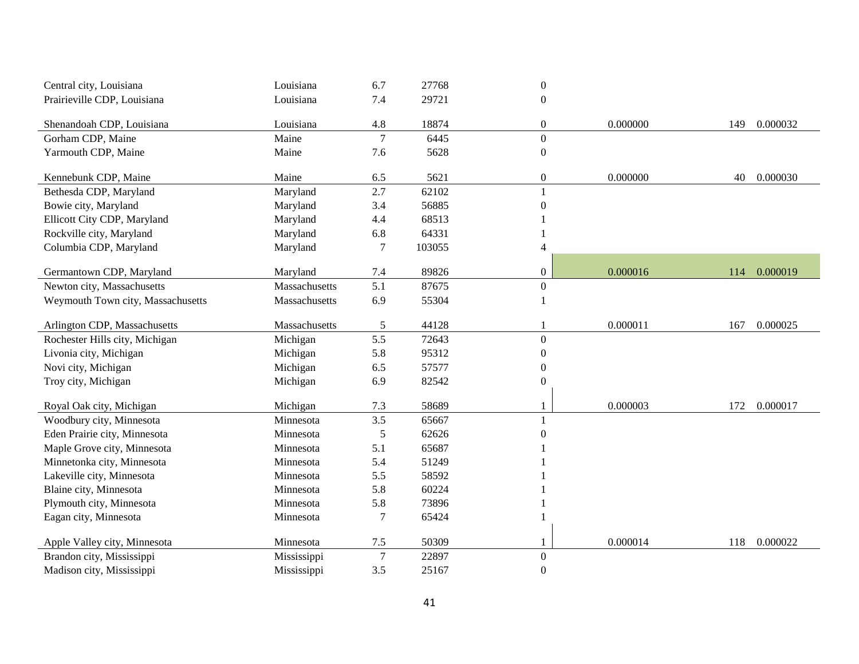| Central city, Louisiana           | Louisiana     | 6.7            | 27768  | $\boldsymbol{0}$ |          |     |          |
|-----------------------------------|---------------|----------------|--------|------------------|----------|-----|----------|
| Prairieville CDP, Louisiana       | Louisiana     | 7.4            | 29721  | $\boldsymbol{0}$ |          |     |          |
|                                   |               |                |        |                  |          |     |          |
| Shenandoah CDP, Louisiana         | Louisiana     | 4.8            | 18874  | $\boldsymbol{0}$ | 0.000000 | 149 | 0.000032 |
| Gorham CDP, Maine                 | Maine         | $\overline{7}$ | 6445   | $\overline{0}$   |          |     |          |
| Yarmouth CDP, Maine               | Maine         | 7.6            | 5628   | $\boldsymbol{0}$ |          |     |          |
| Kennebunk CDP, Maine              | Maine         | 6.5            | 5621   | $\boldsymbol{0}$ | 0.000000 | 40  | 0.000030 |
| Bethesda CDP, Maryland            | Maryland      | 2.7            | 62102  |                  |          |     |          |
| Bowie city, Maryland              | Maryland      | 3.4            | 56885  | $\boldsymbol{0}$ |          |     |          |
| Ellicott City CDP, Maryland       | Maryland      | 4.4            | 68513  |                  |          |     |          |
| Rockville city, Maryland          | Maryland      | 6.8            | 64331  |                  |          |     |          |
| Columbia CDP, Maryland            | Maryland      | 7              | 103055 | $\overline{4}$   |          |     |          |
|                                   |               |                |        |                  |          |     |          |
| Germantown CDP, Maryland          | Maryland      | 7.4            | 89826  | $\boldsymbol{0}$ | 0.000016 | 114 | 0.000019 |
| Newton city, Massachusetts        | Massachusetts | 5.1            | 87675  | $\overline{0}$   |          |     |          |
| Weymouth Town city, Massachusetts | Massachusetts | 6.9            | 55304  | $\mathbf{1}$     |          |     |          |
| Arlington CDP, Massachusetts      | Massachusetts | 5              | 44128  |                  | 0.000011 | 167 | 0.000025 |
| Rochester Hills city, Michigan    | Michigan      | 5.5            | 72643  | $\overline{0}$   |          |     |          |
| Livonia city, Michigan            | Michigan      | 5.8            | 95312  | $\boldsymbol{0}$ |          |     |          |
| Novi city, Michigan               | Michigan      | 6.5            | 57577  | $\boldsymbol{0}$ |          |     |          |
| Troy city, Michigan               | Michigan      | 6.9            | 82542  | $\boldsymbol{0}$ |          |     |          |
| Royal Oak city, Michigan          | Michigan      | 7.3            | 58689  | 1                | 0.000003 | 172 | 0.000017 |
| Woodbury city, Minnesota          | Minnesota     | 3.5            | 65667  |                  |          |     |          |
| Eden Prairie city, Minnesota      | Minnesota     | 5              | 62626  | $\Omega$         |          |     |          |
| Maple Grove city, Minnesota       | Minnesota     | 5.1            | 65687  |                  |          |     |          |
| Minnetonka city, Minnesota        | Minnesota     | 5.4            | 51249  |                  |          |     |          |
| Lakeville city, Minnesota         | Minnesota     | 5.5            | 58592  |                  |          |     |          |
| Blaine city, Minnesota            | Minnesota     | 5.8            | 60224  |                  |          |     |          |
| Plymouth city, Minnesota          | Minnesota     | 5.8            | 73896  |                  |          |     |          |
| Eagan city, Minnesota             | Minnesota     | 7              | 65424  |                  |          |     |          |
|                                   |               |                |        |                  |          |     |          |
| Apple Valley city, Minnesota      | Minnesota     | 7.5            | 50309  | 1                | 0.000014 | 118 | 0.000022 |
| Brandon city, Mississippi         | Mississippi   | $\overline{7}$ | 22897  | $\boldsymbol{0}$ |          |     |          |
| Madison city, Mississippi         | Mississippi   | 3.5            | 25167  | $\boldsymbol{0}$ |          |     |          |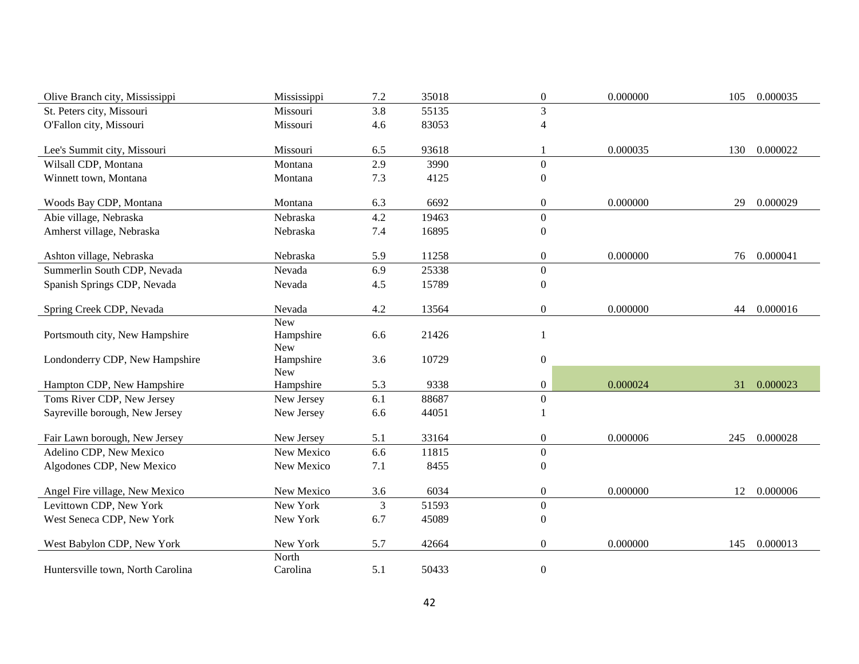| Olive Branch city, Mississippi    | Mississippi | 7.2 | 35018 | $\boldsymbol{0}$ | 0.000000 | 105 | 0.000035 |
|-----------------------------------|-------------|-----|-------|------------------|----------|-----|----------|
| St. Peters city, Missouri         | Missouri    | 3.8 | 55135 | $\overline{3}$   |          |     |          |
| O'Fallon city, Missouri           | Missouri    | 4.6 | 83053 | $\overline{4}$   |          |     |          |
|                                   |             |     |       |                  |          |     |          |
| Lee's Summit city, Missouri       | Missouri    | 6.5 | 93618 | 1                | 0.000035 | 130 | 0.000022 |
| Wilsall CDP, Montana              | Montana     | 2.9 | 3990  | $\boldsymbol{0}$ |          |     |          |
| Winnett town, Montana             | Montana     | 7.3 | 4125  | $\boldsymbol{0}$ |          |     |          |
| Woods Bay CDP, Montana            | Montana     | 6.3 | 6692  | $\boldsymbol{0}$ | 0.000000 | 29  | 0.000029 |
| Abie village, Nebraska            | Nebraska    | 4.2 | 19463 | $\boldsymbol{0}$ |          |     |          |
| Amherst village, Nebraska         | Nebraska    | 7.4 | 16895 | $\boldsymbol{0}$ |          |     |          |
|                                   |             |     |       |                  |          |     |          |
| Ashton village, Nebraska          | Nebraska    | 5.9 | 11258 | $\boldsymbol{0}$ | 0.000000 | 76  | 0.000041 |
| Summerlin South CDP, Nevada       | Nevada      | 6.9 | 25338 | $\boldsymbol{0}$ |          |     |          |
| Spanish Springs CDP, Nevada       | Nevada      | 4.5 | 15789 | $\boldsymbol{0}$ |          |     |          |
| Spring Creek CDP, Nevada          | Nevada      | 4.2 | 13564 | $\boldsymbol{0}$ | 0.000000 | 44  | 0.000016 |
|                                   | <b>New</b>  |     |       |                  |          |     |          |
| Portsmouth city, New Hampshire    | Hampshire   | 6.6 | 21426 | $\mathbf{1}$     |          |     |          |
|                                   | New         |     |       |                  |          |     |          |
| Londonderry CDP, New Hampshire    | Hampshire   | 3.6 | 10729 | $\boldsymbol{0}$ |          |     |          |
|                                   | <b>New</b>  |     |       |                  |          |     |          |
| Hampton CDP, New Hampshire        | Hampshire   | 5.3 | 9338  | $\boldsymbol{0}$ | 0.000024 | 31  | 0.000023 |
| Toms River CDP, New Jersey        | New Jersey  | 6.1 | 88687 | $\boldsymbol{0}$ |          |     |          |
| Sayreville borough, New Jersey    | New Jersey  | 6.6 | 44051 | 1                |          |     |          |
| Fair Lawn borough, New Jersey     | New Jersey  | 5.1 | 33164 | $\boldsymbol{0}$ | 0.000006 | 245 | 0.000028 |
| Adelino CDP, New Mexico           | New Mexico  | 6.6 | 11815 | $\boldsymbol{0}$ |          |     |          |
| Algodones CDP, New Mexico         | New Mexico  | 7.1 | 8455  | $\boldsymbol{0}$ |          |     |          |
|                                   |             |     |       |                  |          |     |          |
| Angel Fire village, New Mexico    | New Mexico  | 3.6 | 6034  | $\boldsymbol{0}$ | 0.000000 | 12  | 0.000006 |
| Levittown CDP, New York           | New York    | 3   | 51593 | $\boldsymbol{0}$ |          |     |          |
| West Seneca CDP, New York         | New York    | 6.7 | 45089 | $\boldsymbol{0}$ |          |     |          |
| West Babylon CDP, New York        | New York    | 5.7 | 42664 | $\boldsymbol{0}$ | 0.000000 | 145 | 0.000013 |
|                                   | North       |     |       |                  |          |     |          |
| Huntersville town, North Carolina | Carolina    | 5.1 | 50433 | $\boldsymbol{0}$ |          |     |          |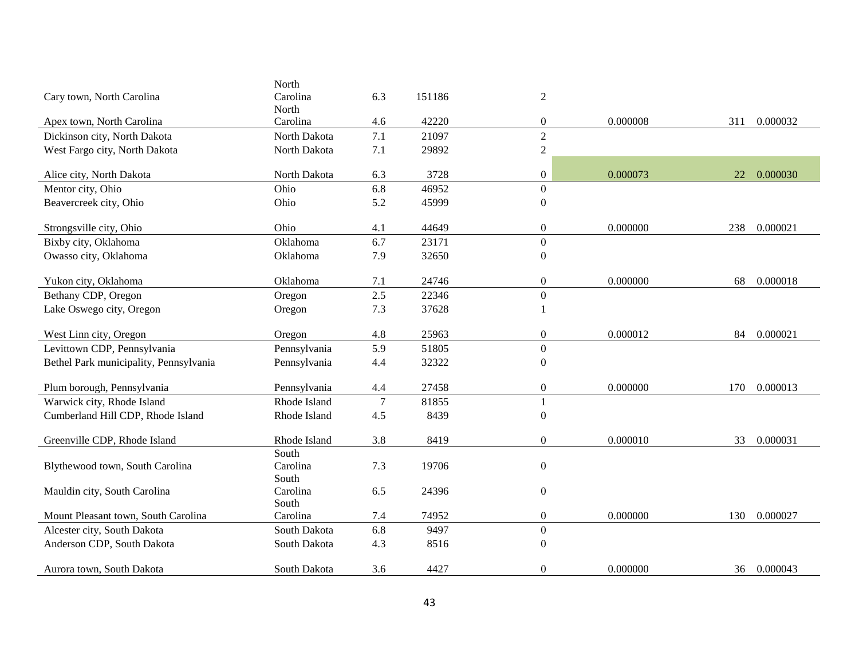|                                        | North        |                |        |                  |          |     |          |
|----------------------------------------|--------------|----------------|--------|------------------|----------|-----|----------|
| Cary town, North Carolina              | Carolina     | 6.3            | 151186 | $\overline{2}$   |          |     |          |
|                                        | North        |                |        |                  |          |     |          |
| Apex town, North Carolina              | Carolina     | 4.6            | 42220  | $\boldsymbol{0}$ | 0.000008 | 311 | 0.000032 |
| Dickinson city, North Dakota           | North Dakota | 7.1            | 21097  | $\overline{2}$   |          |     |          |
| West Fargo city, North Dakota          | North Dakota | 7.1            | 29892  | $\sqrt{2}$       |          |     |          |
|                                        |              |                |        |                  |          |     |          |
| Alice city, North Dakota               | North Dakota | 6.3            | 3728   | $\boldsymbol{0}$ | 0.000073 | 22  | 0.000030 |
| Mentor city, Ohio                      | Ohio         | 6.8            | 46952  | $\boldsymbol{0}$ |          |     |          |
| Beavercreek city, Ohio                 | Ohio         | 5.2            | 45999  | $\boldsymbol{0}$ |          |     |          |
|                                        |              |                |        |                  |          |     |          |
| Strongsville city, Ohio                | Ohio         | 4.1            | 44649  | $\boldsymbol{0}$ | 0.000000 | 238 | 0.000021 |
| Bixby city, Oklahoma                   | Oklahoma     | 6.7            | 23171  | $\boldsymbol{0}$ |          |     |          |
| Owasso city, Oklahoma                  | Oklahoma     | 7.9            | 32650  | $\boldsymbol{0}$ |          |     |          |
|                                        |              |                |        |                  |          |     |          |
| Yukon city, Oklahoma                   | Oklahoma     | 7.1            | 24746  | $\boldsymbol{0}$ | 0.000000 | 68  | 0.000018 |
| Bethany CDP, Oregon                    | Oregon       | 2.5            | 22346  | $\boldsymbol{0}$ |          |     |          |
| Lake Oswego city, Oregon               | Oregon       | 7.3            | 37628  | -1               |          |     |          |
|                                        |              |                |        |                  |          |     |          |
| West Linn city, Oregon                 | Oregon       | 4.8            | 25963  | $\boldsymbol{0}$ | 0.000012 | 84  | 0.000021 |
| Levittown CDP, Pennsylvania            | Pennsylvania | 5.9            | 51805  | $\boldsymbol{0}$ |          |     |          |
| Bethel Park municipality, Pennsylvania | Pennsylvania | 4.4            | 32322  | $\boldsymbol{0}$ |          |     |          |
|                                        |              |                |        |                  |          |     |          |
| Plum borough, Pennsylvania             | Pennsylvania | 4.4            | 27458  | $\boldsymbol{0}$ | 0.000000 | 170 | 0.000013 |
| Warwick city, Rhode Island             | Rhode Island | $\overline{7}$ | 81855  | $\mathbf{1}$     |          |     |          |
| Cumberland Hill CDP, Rhode Island      | Rhode Island | 4.5            | 8439   | $\boldsymbol{0}$ |          |     |          |
|                                        |              |                |        |                  |          |     |          |
| Greenville CDP, Rhode Island           | Rhode Island | 3.8            | 8419   | $\boldsymbol{0}$ | 0.000010 | 33  | 0.000031 |
|                                        | South        |                |        |                  |          |     |          |
| Blythewood town, South Carolina        | Carolina     | 7.3            | 19706  | $\boldsymbol{0}$ |          |     |          |
|                                        | South        |                |        |                  |          |     |          |
| Mauldin city, South Carolina           | Carolina     | 6.5            | 24396  | $\boldsymbol{0}$ |          |     |          |
|                                        | South        |                |        |                  |          |     |          |
| Mount Pleasant town, South Carolina    | Carolina     | 7.4            | 74952  | $\boldsymbol{0}$ | 0.000000 | 130 | 0.000027 |
| Alcester city, South Dakota            | South Dakota | 6.8            | 9497   | $\boldsymbol{0}$ |          |     |          |
| Anderson CDP, South Dakota             | South Dakota | 4.3            | 8516   | $\boldsymbol{0}$ |          |     |          |
|                                        |              |                |        |                  |          |     |          |
| Aurora town, South Dakota              | South Dakota | 3.6            | 4427   | $\boldsymbol{0}$ | 0.000000 | 36  | 0.000043 |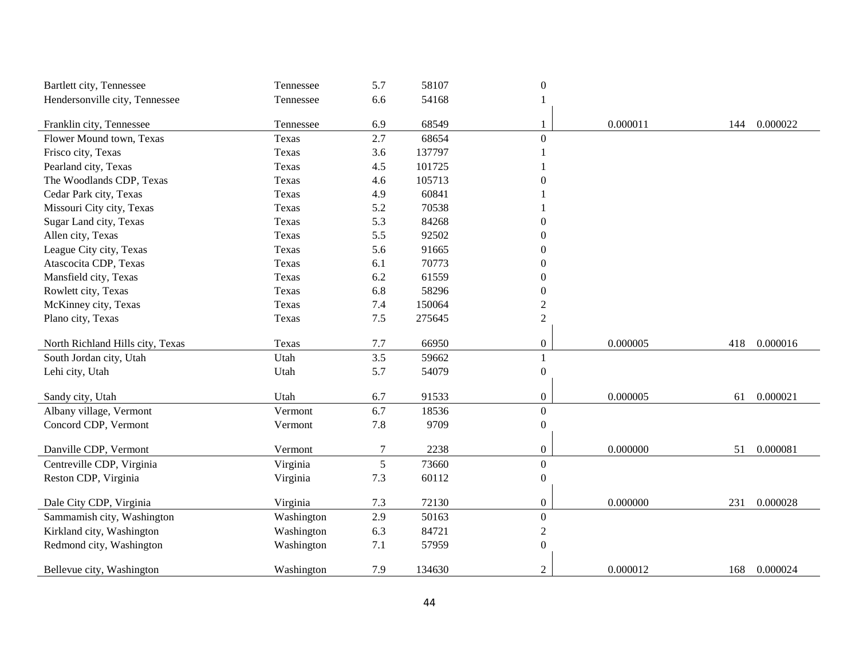| Bartlett city, Tennessee         | Tennessee  | 5.7   | 58107  | $\boldsymbol{0}$ |          |     |          |
|----------------------------------|------------|-------|--------|------------------|----------|-----|----------|
| Hendersonville city, Tennessee   | Tennessee  | 6.6   | 54168  |                  |          |     |          |
|                                  |            |       |        |                  |          |     |          |
| Franklin city, Tennessee         | Tennessee  | 6.9   | 68549  | 1                | 0.000011 | 144 | 0.000022 |
| Flower Mound town, Texas         | Texas      | 2.7   | 68654  | $\boldsymbol{0}$ |          |     |          |
| Frisco city, Texas               | Texas      | 3.6   | 137797 |                  |          |     |          |
| Pearland city, Texas             | Texas      | 4.5   | 101725 |                  |          |     |          |
| The Woodlands CDP, Texas         | Texas      | 4.6   | 105713 | $\mathbf{0}$     |          |     |          |
| Cedar Park city, Texas           | Texas      | 4.9   | 60841  |                  |          |     |          |
| Missouri City city, Texas        | Texas      | 5.2   | 70538  |                  |          |     |          |
| Sugar Land city, Texas           | Texas      | 5.3   | 84268  | $\boldsymbol{0}$ |          |     |          |
| Allen city, Texas                | Texas      | 5.5   | 92502  | $\boldsymbol{0}$ |          |     |          |
| League City city, Texas          | Texas      | 5.6   | 91665  | $\mathbf{0}$     |          |     |          |
| Atascocita CDP, Texas            | Texas      | 6.1   | 70773  | $\boldsymbol{0}$ |          |     |          |
| Mansfield city, Texas            | Texas      | 6.2   | 61559  | $\boldsymbol{0}$ |          |     |          |
| Rowlett city, Texas              | Texas      | 6.8   | 58296  | $\boldsymbol{0}$ |          |     |          |
| McKinney city, Texas             | Texas      | 7.4   | 150064 | $\mathfrak{2}$   |          |     |          |
| Plano city, Texas                | Texas      | $7.5$ | 275645 | $\sqrt{2}$       |          |     |          |
|                                  |            |       |        |                  |          |     |          |
| North Richland Hills city, Texas | Texas      | 7.7   | 66950  | $\boldsymbol{0}$ | 0.000005 | 418 | 0.000016 |
| South Jordan city, Utah          | Utah       | 3.5   | 59662  | 1                |          |     |          |
| Lehi city, Utah                  | Utah       | 5.7   | 54079  | $\boldsymbol{0}$ |          |     |          |
|                                  |            |       |        |                  |          |     |          |
| Sandy city, Utah                 | Utah       | 6.7   | 91533  | $\boldsymbol{0}$ | 0.000005 | 61  | 0.000021 |
| Albany village, Vermont          | Vermont    | 6.7   | 18536  | $\boldsymbol{0}$ |          |     |          |
| Concord CDP, Vermont             | Vermont    | 7.8   | 9709   | $\boldsymbol{0}$ |          |     |          |
| Danville CDP, Vermont            | Vermont    | 7     | 2238   | $\boldsymbol{0}$ | 0.000000 | 51  | 0.000081 |
| Centreville CDP, Virginia        | Virginia   | 5     | 73660  | $\overline{0}$   |          |     |          |
| Reston CDP, Virginia             | Virginia   | 7.3   | 60112  | $\boldsymbol{0}$ |          |     |          |
|                                  |            |       |        |                  |          |     |          |
| Dale City CDP, Virginia          | Virginia   | 7.3   | 72130  | $\boldsymbol{0}$ | 0.000000 | 231 | 0.000028 |
| Sammamish city, Washington       | Washington | 2.9   | 50163  | $\boldsymbol{0}$ |          |     |          |
| Kirkland city, Washington        | Washington | 6.3   | 84721  | $\sqrt{2}$       |          |     |          |
| Redmond city, Washington         | Washington | 7.1   | 57959  | $\boldsymbol{0}$ |          |     |          |
|                                  |            |       |        |                  |          |     |          |
| Bellevue city, Washington        | Washington | 7.9   | 134630 | $\overline{2}$   | 0.000012 | 168 | 0.000024 |